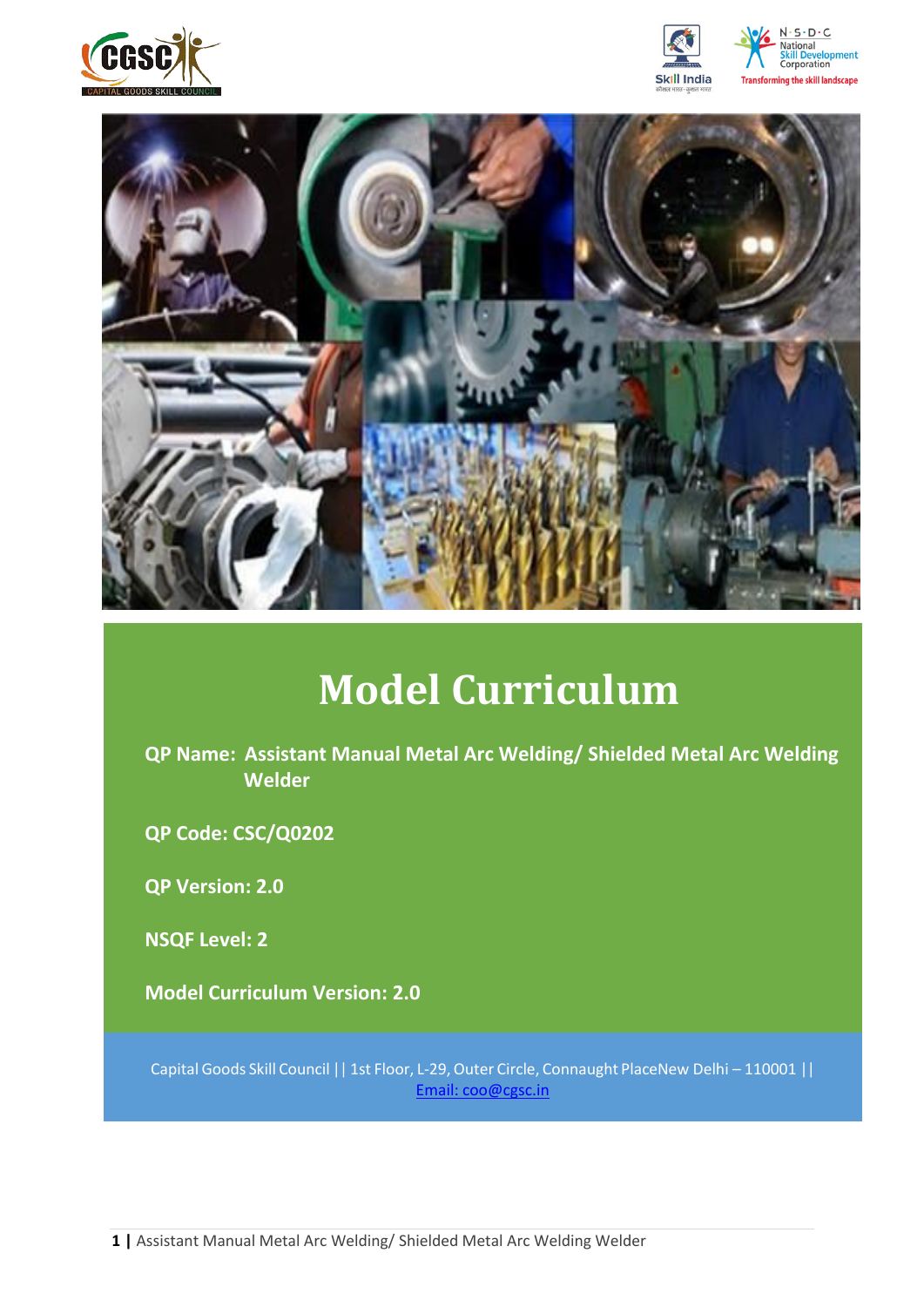







# **Model Curriculum**

**QP Name: Assistant Manual Metal Arc Welding/ Shielded Metal Arc Welding Welder**

**QP Code: CSC/Q0202**

**QP Version: 2.0**

**NSQF Level: 2**

**Model Curriculum Version: 2.0** 

Capital Goods Skill Council || 1st Floor, L-29,Outer Circle, Connaught PlaceNew Delhi – 110001 || Email: [coo@cgsc.in](mailto:Email:%20coo@cgsc.in)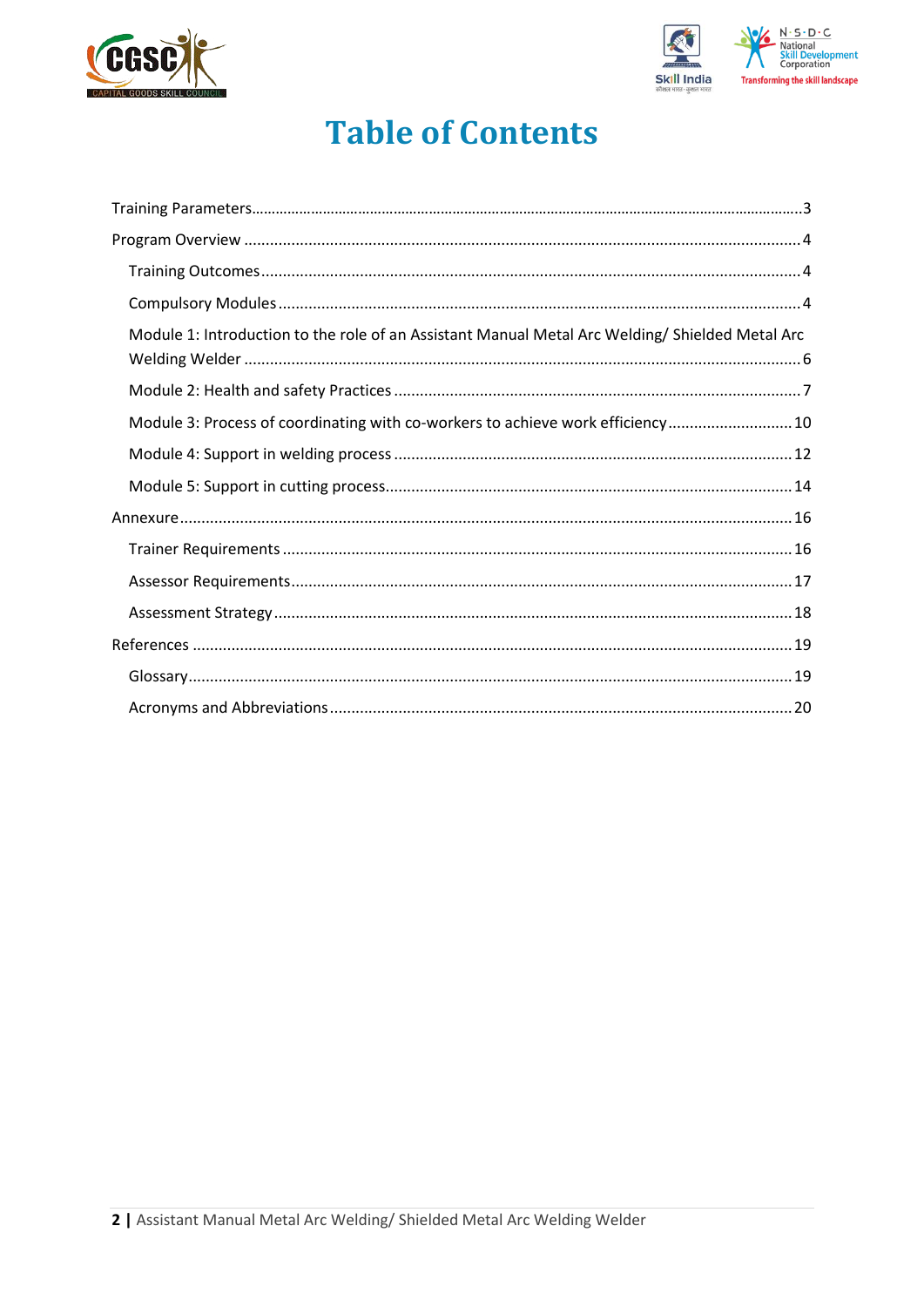



## **Table of Contents**

| Module 1: Introduction to the role of an Assistant Manual Metal Arc Welding/ Shielded Metal Arc |  |
|-------------------------------------------------------------------------------------------------|--|
|                                                                                                 |  |
| Module 3: Process of coordinating with co-workers to achieve work efficiency 10                 |  |
|                                                                                                 |  |
|                                                                                                 |  |
|                                                                                                 |  |
|                                                                                                 |  |
|                                                                                                 |  |
|                                                                                                 |  |
|                                                                                                 |  |
|                                                                                                 |  |
|                                                                                                 |  |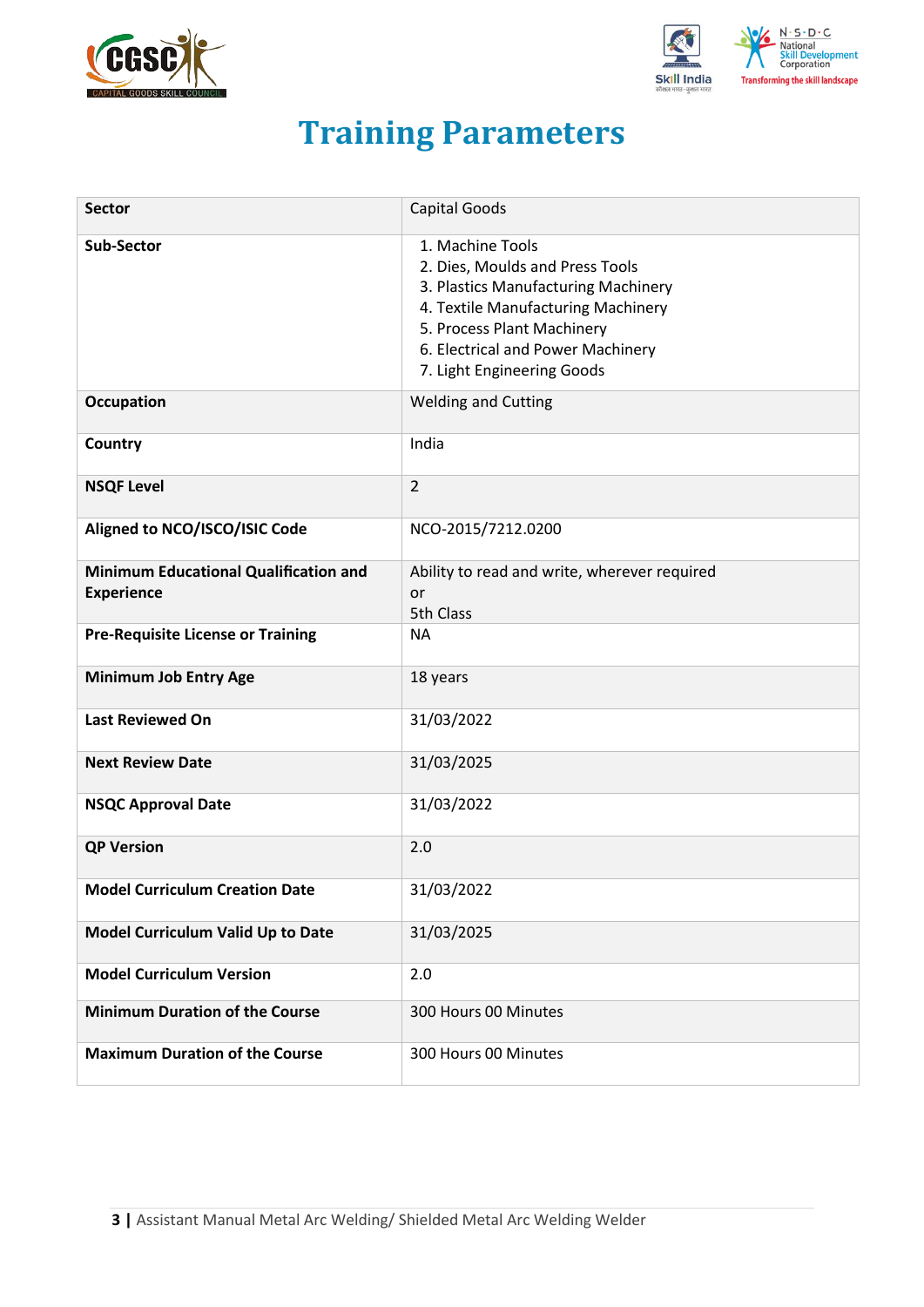



## **Training Parameters**

<span id="page-2-0"></span>

| <b>Sector</b>                                                     | <b>Capital Goods</b>                                                                                                                                                                                                              |
|-------------------------------------------------------------------|-----------------------------------------------------------------------------------------------------------------------------------------------------------------------------------------------------------------------------------|
| Sub-Sector                                                        | 1. Machine Tools<br>2. Dies, Moulds and Press Tools<br>3. Plastics Manufacturing Machinery<br>4. Textile Manufacturing Machinery<br>5. Process Plant Machinery<br>6. Electrical and Power Machinery<br>7. Light Engineering Goods |
| <b>Occupation</b>                                                 | <b>Welding and Cutting</b>                                                                                                                                                                                                        |
| Country                                                           | India                                                                                                                                                                                                                             |
| <b>NSQF Level</b>                                                 | $\overline{2}$                                                                                                                                                                                                                    |
| Aligned to NCO/ISCO/ISIC Code                                     | NCO-2015/7212.0200                                                                                                                                                                                                                |
| <b>Minimum Educational Qualification and</b><br><b>Experience</b> | Ability to read and write, wherever required<br>or<br>5th Class                                                                                                                                                                   |
| <b>Pre-Requisite License or Training</b>                          | <b>NA</b>                                                                                                                                                                                                                         |
| <b>Minimum Job Entry Age</b>                                      | 18 years                                                                                                                                                                                                                          |
| <b>Last Reviewed On</b>                                           | 31/03/2022                                                                                                                                                                                                                        |
| <b>Next Review Date</b>                                           | 31/03/2025                                                                                                                                                                                                                        |
| <b>NSQC Approval Date</b>                                         | 31/03/2022                                                                                                                                                                                                                        |
| <b>QP Version</b>                                                 | 2.0                                                                                                                                                                                                                               |
| <b>Model Curriculum Creation Date</b>                             | 31/03/2022                                                                                                                                                                                                                        |
| Model Curriculum Valid Up to Date                                 | 31/03/2025                                                                                                                                                                                                                        |
| <b>Model Curriculum Version</b>                                   | 2.0                                                                                                                                                                                                                               |
| <b>Minimum Duration of the Course</b>                             | 300 Hours 00 Minutes                                                                                                                                                                                                              |
| <b>Maximum Duration of the Course</b>                             | 300 Hours 00 Minutes                                                                                                                                                                                                              |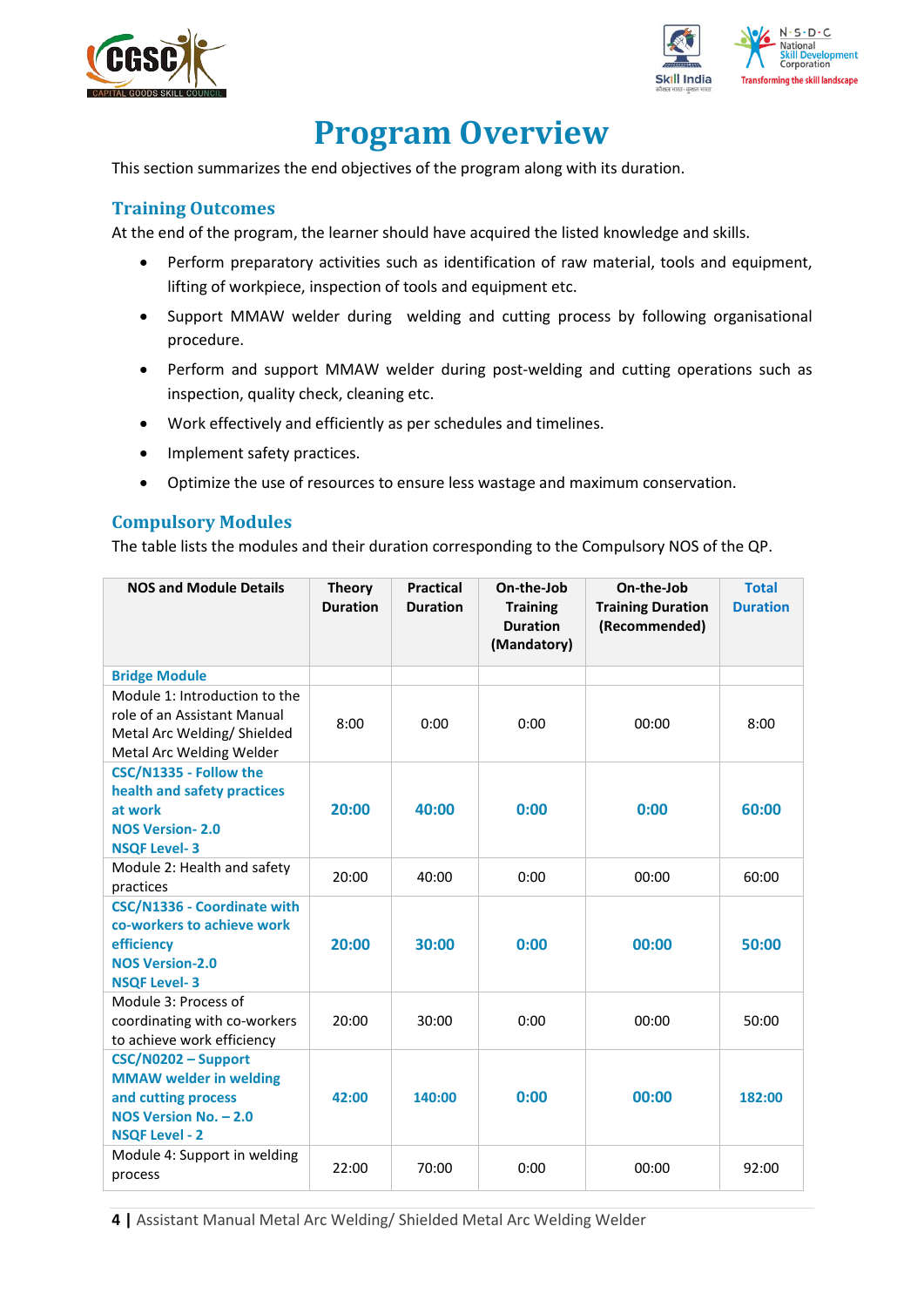



## **Program Overview**

<span id="page-3-0"></span>This section summarizes the end objectives of the program along with its duration.

### <span id="page-3-1"></span>**Training Outcomes**

<span id="page-3-2"></span>At the end of the program, the learner should have acquired the listed knowledge and skills.

- Perform preparatory activities such as identification of raw material, tools and equipment, lifting of workpiece, inspection of tools and equipment etc.
- Support MMAW welder during welding and cutting process by following organisational procedure.
- Perform and support MMAW welder during post-welding and cutting operations such as inspection, quality check, cleaning etc.
- Work effectively and efficiently as per schedules and timelines.
- Implement safety practices.
- Optimize the use of resources to ensure less wastage and maximum conservation.

### **Compulsory Modules**

The table lists the modules and their duration corresponding to the Compulsory NOS of the QP.

| <b>NOS and Module Details</b>                                                                                                 | <b>Theory</b><br><b>Duration</b> | <b>Practical</b><br><b>Duration</b> | On-the-Job<br><b>Training</b><br><b>Duration</b><br>(Mandatory) | On-the-Job<br><b>Training Duration</b><br>(Recommended) | <b>Total</b><br><b>Duration</b> |
|-------------------------------------------------------------------------------------------------------------------------------|----------------------------------|-------------------------------------|-----------------------------------------------------------------|---------------------------------------------------------|---------------------------------|
| <b>Bridge Module</b>                                                                                                          |                                  |                                     |                                                                 |                                                         |                                 |
| Module 1: Introduction to the<br>role of an Assistant Manual<br>Metal Arc Welding/Shielded<br>Metal Arc Welding Welder        | 8:00                             | 0:00                                | 0:00                                                            | 00:00                                                   | 8:00                            |
| CSC/N1335 - Follow the<br>health and safety practices<br>at work<br><b>NOS Version-2.0</b><br><b>NSQF Level-3</b>             | 20:00                            | 40:00                               | 0:00                                                            | 0:00                                                    | 60:00                           |
| Module 2: Health and safety<br>practices                                                                                      | 20:00                            | 40:00                               | 0:00                                                            | 00:00                                                   | 60:00                           |
| CSC/N1336 - Coordinate with<br>co-workers to achieve work<br>efficiency<br><b>NOS Version-2.0</b><br><b>NSQF Level-3</b>      | 20:00                            | 30:00                               | 0:00                                                            | 00:00                                                   | 50:00                           |
| Module 3: Process of<br>coordinating with co-workers<br>to achieve work efficiency                                            | 20:00                            | 30:00                               | 0:00                                                            | 00:00                                                   | 50:00                           |
| CSC/N0202 - Support<br><b>MMAW welder in welding</b><br>and cutting process<br>NOS Version No. - 2.0<br><b>NSQF Level - 2</b> | 42:00                            | 140:00                              | 0:00                                                            | 00:00                                                   | 182:00                          |
| Module 4: Support in welding<br>process                                                                                       | 22:00                            | 70:00                               | 0:00                                                            | 00:00                                                   | 92:00                           |

**4 |** Assistant Manual Metal Arc Welding/ Shielded Metal Arc Welding Welder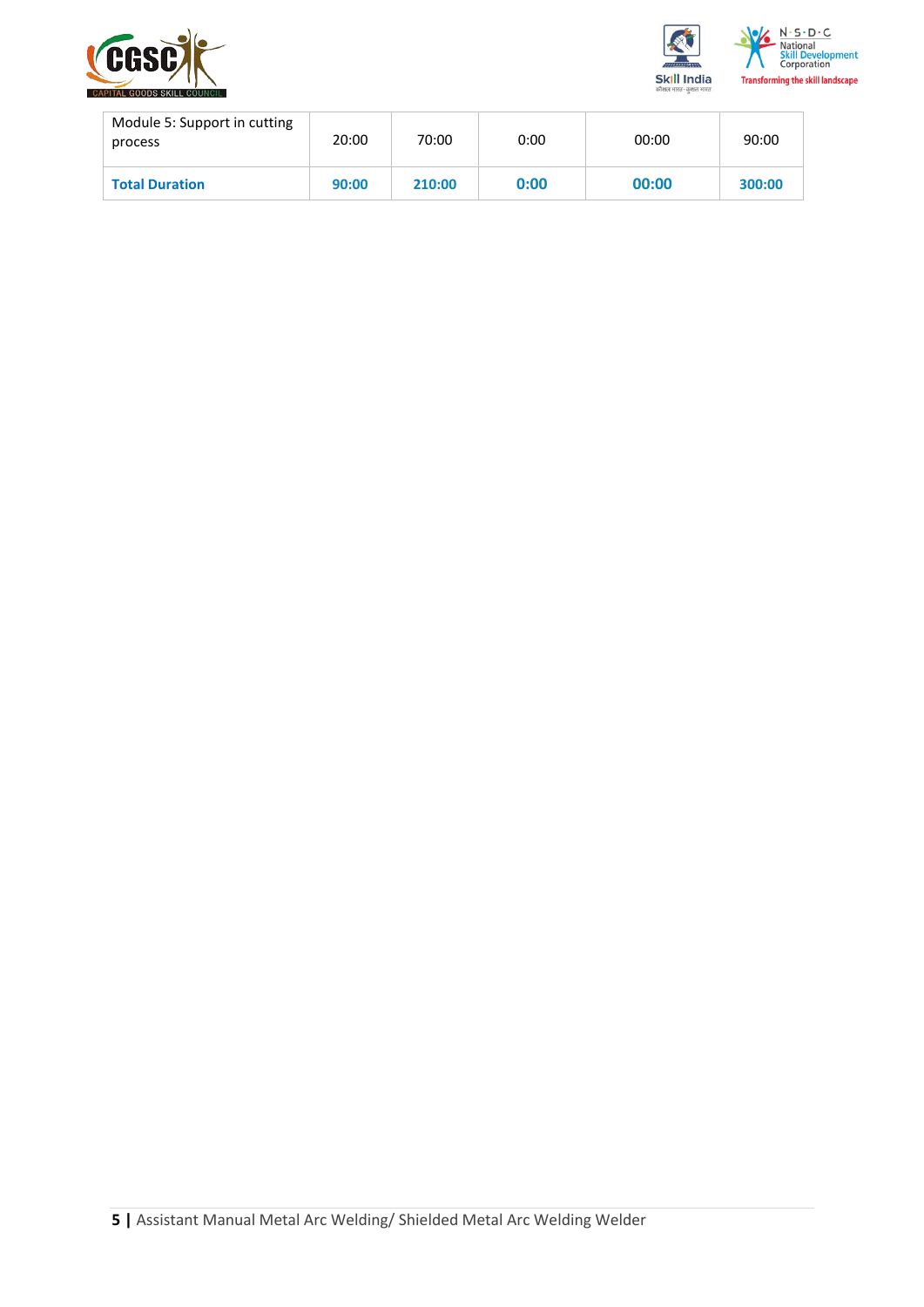



| Module 5: Support in cutting<br>process | 20:00 | 70:00  | 0:00 | 00:00 | 90:00  |
|-----------------------------------------|-------|--------|------|-------|--------|
| <b>Total Duration</b>                   | 90:00 | 210:00 | 0:00 | 00:00 | 300:00 |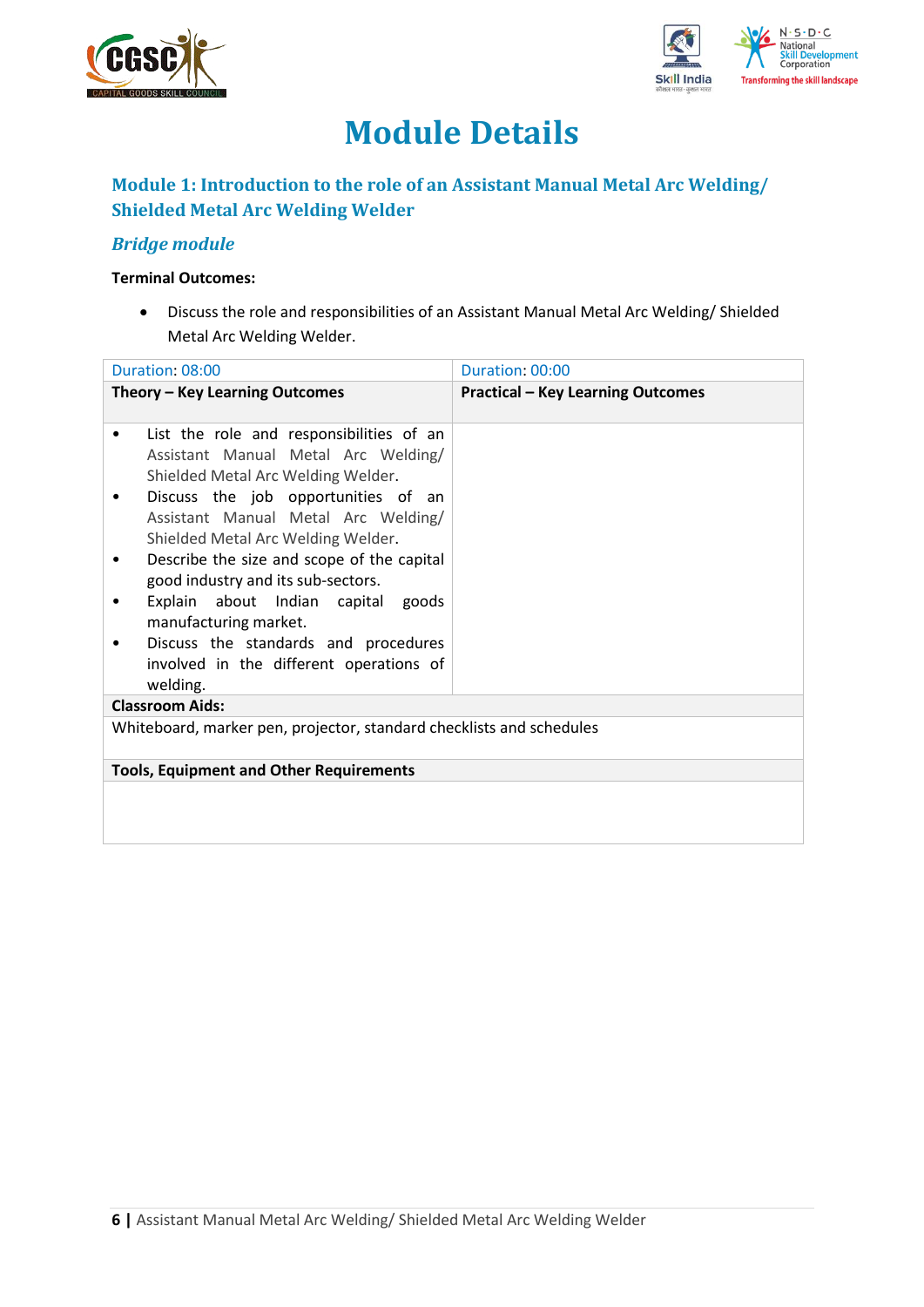



## **Module Details**

## **Module 1: Introduction to the role of an Assistant Manual Metal Arc Welding/ Shielded Metal Arc Welding Welder**

### *Bridge module*

#### **Terminal Outcomes:**

• Discuss the role and responsibilities of an Assistant Manual Metal Arc Welding/ Shielded Metal Arc Welding Welder.

| Duration: 08:00                                                                                                                                                                                                                                                                                                                                                                                                                                                                                                    | Duration: 00:00                          |
|--------------------------------------------------------------------------------------------------------------------------------------------------------------------------------------------------------------------------------------------------------------------------------------------------------------------------------------------------------------------------------------------------------------------------------------------------------------------------------------------------------------------|------------------------------------------|
| Theory - Key Learning Outcomes                                                                                                                                                                                                                                                                                                                                                                                                                                                                                     | <b>Practical - Key Learning Outcomes</b> |
| List the role and responsibilities of an<br>$\bullet$<br>Assistant Manual Metal Arc Welding/<br>Shielded Metal Arc Welding Welder.<br>Discuss the job opportunities of an<br>Assistant Manual Metal Arc Welding/<br>Shielded Metal Arc Welding Welder.<br>Describe the size and scope of the capital<br>٠<br>good industry and its sub-sectors.<br>Explain about Indian capital goods<br>manufacturing market.<br>Discuss the standards and procedures<br>٠<br>involved in the different operations of<br>welding. |                                          |
| <b>Classroom Aids:</b>                                                                                                                                                                                                                                                                                                                                                                                                                                                                                             |                                          |
| Whiteboard, marker pen, projector, standard checklists and schedules                                                                                                                                                                                                                                                                                                                                                                                                                                               |                                          |
| <b>Tools, Equipment and Other Requirements</b>                                                                                                                                                                                                                                                                                                                                                                                                                                                                     |                                          |
|                                                                                                                                                                                                                                                                                                                                                                                                                                                                                                                    |                                          |
|                                                                                                                                                                                                                                                                                                                                                                                                                                                                                                                    |                                          |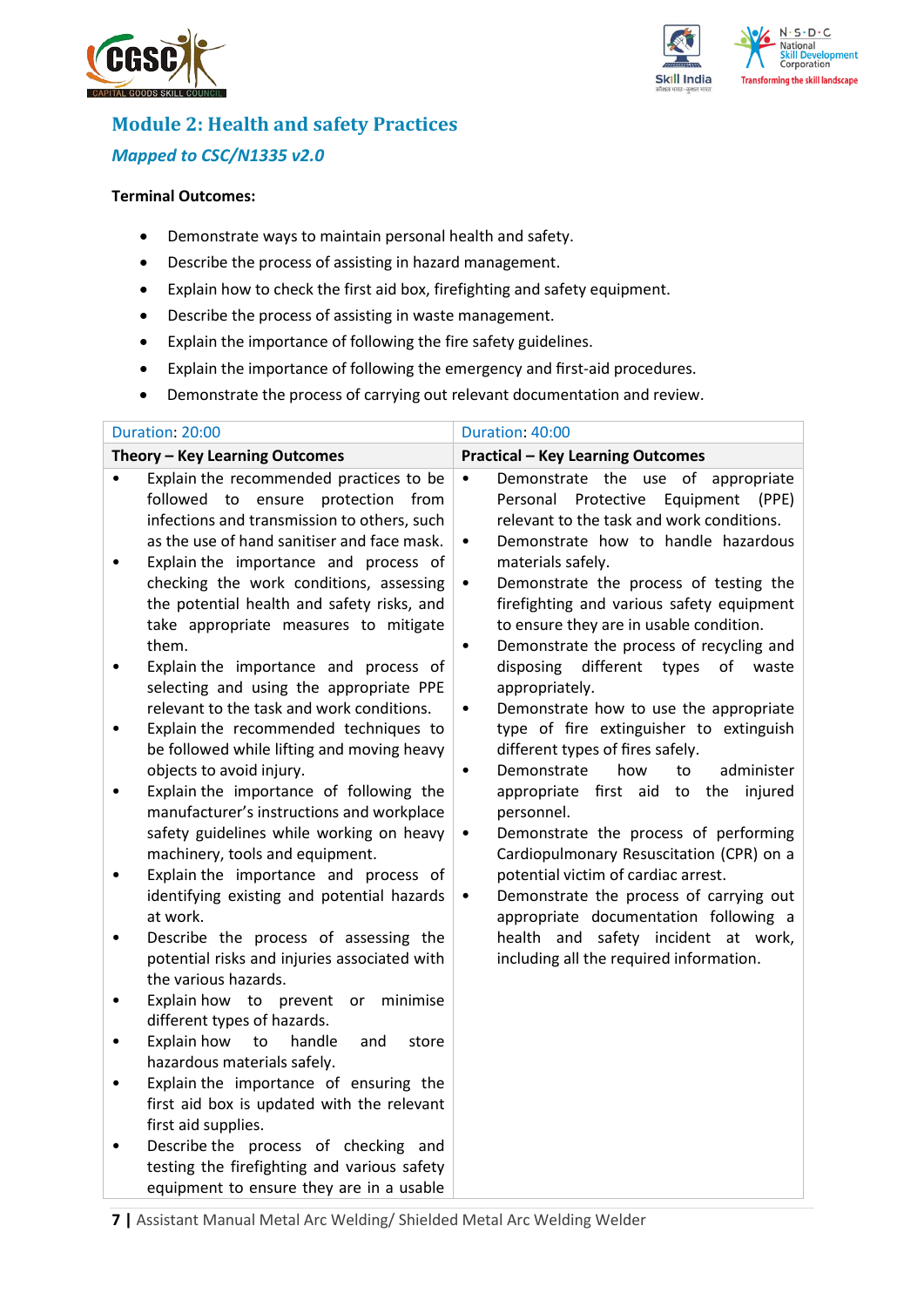



## **Module 2: Health and safety Practices** *Mapped to CSC/N1335 v2.0*

#### **Terminal Outcomes:**

- Demonstrate ways to maintain personal health and safety.
- Describe the process of assisting in hazard management.
- Explain how to check the first aid box, firefighting and safety equipment.
- Describe the process of assisting in waste management.
- Explain the importance of following the fire safety guidelines.
- Explain the importance of following the emergency and first-aid procedures.
- Demonstrate the process of carrying out relevant documentation and review.

| Duration: 20:00                                                                                                                                                                                                                                                                                                                                                                                                                                                                                                                                                                                                                                                                                                                                                                                                                                                                                                                                                                                                                                                                                                                                                                                                                                                                                                                                                                                                                                                                                      | Duration: 40:00                                                                                                                                                                                                                                                                                                                                                                                                                                                                                                                                                                                                                                                                                                                                                                                                                                                                                                                                                                                                                                                                     |
|------------------------------------------------------------------------------------------------------------------------------------------------------------------------------------------------------------------------------------------------------------------------------------------------------------------------------------------------------------------------------------------------------------------------------------------------------------------------------------------------------------------------------------------------------------------------------------------------------------------------------------------------------------------------------------------------------------------------------------------------------------------------------------------------------------------------------------------------------------------------------------------------------------------------------------------------------------------------------------------------------------------------------------------------------------------------------------------------------------------------------------------------------------------------------------------------------------------------------------------------------------------------------------------------------------------------------------------------------------------------------------------------------------------------------------------------------------------------------------------------------|-------------------------------------------------------------------------------------------------------------------------------------------------------------------------------------------------------------------------------------------------------------------------------------------------------------------------------------------------------------------------------------------------------------------------------------------------------------------------------------------------------------------------------------------------------------------------------------------------------------------------------------------------------------------------------------------------------------------------------------------------------------------------------------------------------------------------------------------------------------------------------------------------------------------------------------------------------------------------------------------------------------------------------------------------------------------------------------|
| Theory - Key Learning Outcomes                                                                                                                                                                                                                                                                                                                                                                                                                                                                                                                                                                                                                                                                                                                                                                                                                                                                                                                                                                                                                                                                                                                                                                                                                                                                                                                                                                                                                                                                       | <b>Practical - Key Learning Outcomes</b>                                                                                                                                                                                                                                                                                                                                                                                                                                                                                                                                                                                                                                                                                                                                                                                                                                                                                                                                                                                                                                            |
| Explain the recommended practices to be<br>$\bullet$<br>followed to ensure protection from<br>infections and transmission to others, such<br>as the use of hand sanitiser and face mask.<br>Explain the importance and process of<br>$\bullet$<br>checking the work conditions, assessing<br>the potential health and safety risks, and<br>take appropriate measures to mitigate<br>them.<br>Explain the importance and process of<br>$\bullet$<br>selecting and using the appropriate PPE<br>relevant to the task and work conditions.<br>Explain the recommended techniques to<br>$\bullet$<br>be followed while lifting and moving heavy<br>objects to avoid injury.<br>Explain the importance of following the<br>$\bullet$<br>manufacturer's instructions and workplace<br>safety guidelines while working on heavy<br>machinery, tools and equipment.<br>Explain the importance and process of<br>$\bullet$<br>identifying existing and potential hazards<br>at work.<br>Describe the process of assessing the<br>$\bullet$<br>potential risks and injuries associated with<br>the various hazards.<br>Explain how to prevent or<br>minimise<br>٠<br>different types of hazards.<br>Explain how<br>to<br>handle<br>and<br>store<br>$\bullet$<br>hazardous materials safely.<br>Explain the importance of ensuring the<br>$\bullet$<br>first aid box is updated with the relevant<br>first aid supplies.<br>Describe the process of checking and<br>testing the firefighting and various safety | Demonstrate the use of appropriate<br>$\bullet$<br>Personal<br>Protective<br>Equipment<br>(PPE)<br>relevant to the task and work conditions.<br>Demonstrate how to handle hazardous<br>$\bullet$<br>materials safely.<br>Demonstrate the process of testing the<br>$\bullet$<br>firefighting and various safety equipment<br>to ensure they are in usable condition.<br>Demonstrate the process of recycling and<br>$\bullet$<br>different<br>disposing<br>types<br>of<br>waste<br>appropriately.<br>Demonstrate how to use the appropriate<br>$\bullet$<br>type of fire extinguisher to extinguish<br>different types of fires safely.<br>how<br>administer<br>Demonstrate<br>to<br>$\bullet$<br>appropriate first aid to the<br>injured<br>personnel.<br>Demonstrate the process of performing<br>$\bullet$<br>Cardiopulmonary Resuscitation (CPR) on a<br>potential victim of cardiac arrest.<br>Demonstrate the process of carrying out<br>$\bullet$<br>appropriate documentation following a<br>health and safety incident at work,<br>including all the required information. |

**7 |** Assistant Manual Metal Arc Welding/ Shielded Metal Arc Welding Welder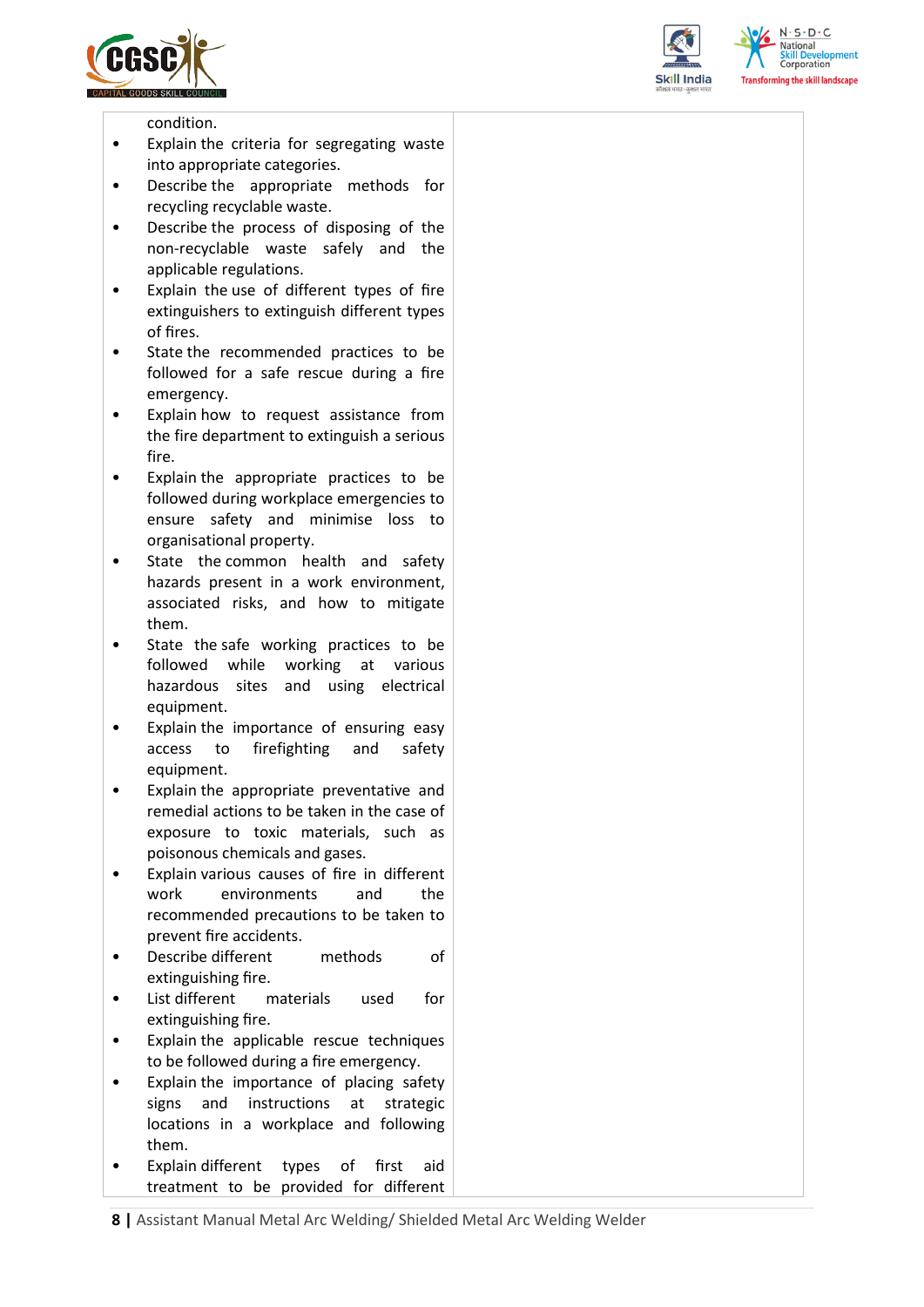





condition.

- Explain the criteria for segregating waste into appropriate categories.
- Describe the appropriate methods for recycling recyclable waste.
- Describe the process of disposing of the non-recyclable waste safely and the applicable regulations.
- Explain the use of different types of fire extinguishers to extinguish different types of fires.
- State the recommended practices to be followed for a safe rescue during a fire emergency.
- Explain how to request assistance from the fire department to extinguish a serious fire.
- Explain the appropriate practices to be followed during workplace emergencies to ensure safety and minimise loss to organisational property.
- State the common health and safety hazards present in a work environment, associated risks, and how to mitigate them.
- State the safe working practices to be followed while working at various hazardous sites and using electrical equipment.
- Explain the importance of ensuring easy access to firefighting and safety equipment.
- Explain the appropriate preventative and remedial actions to be taken in the case of exposure to toxic materials, such as poisonous chemicals and gases.
- Explain various causes of fire in different work environments and the recommended precautions to be taken to prevent fire accidents.
- Describe different methods of extinguishing fire.
- List different materials used for extinguishing fire.
- Explain the applicable rescue techniques to be followed during a fire emergency.
- Explain the importance of placing safety signs and instructions at strategic locations in a workplace and following them.
- Explain different types of first aid treatment to be provided for different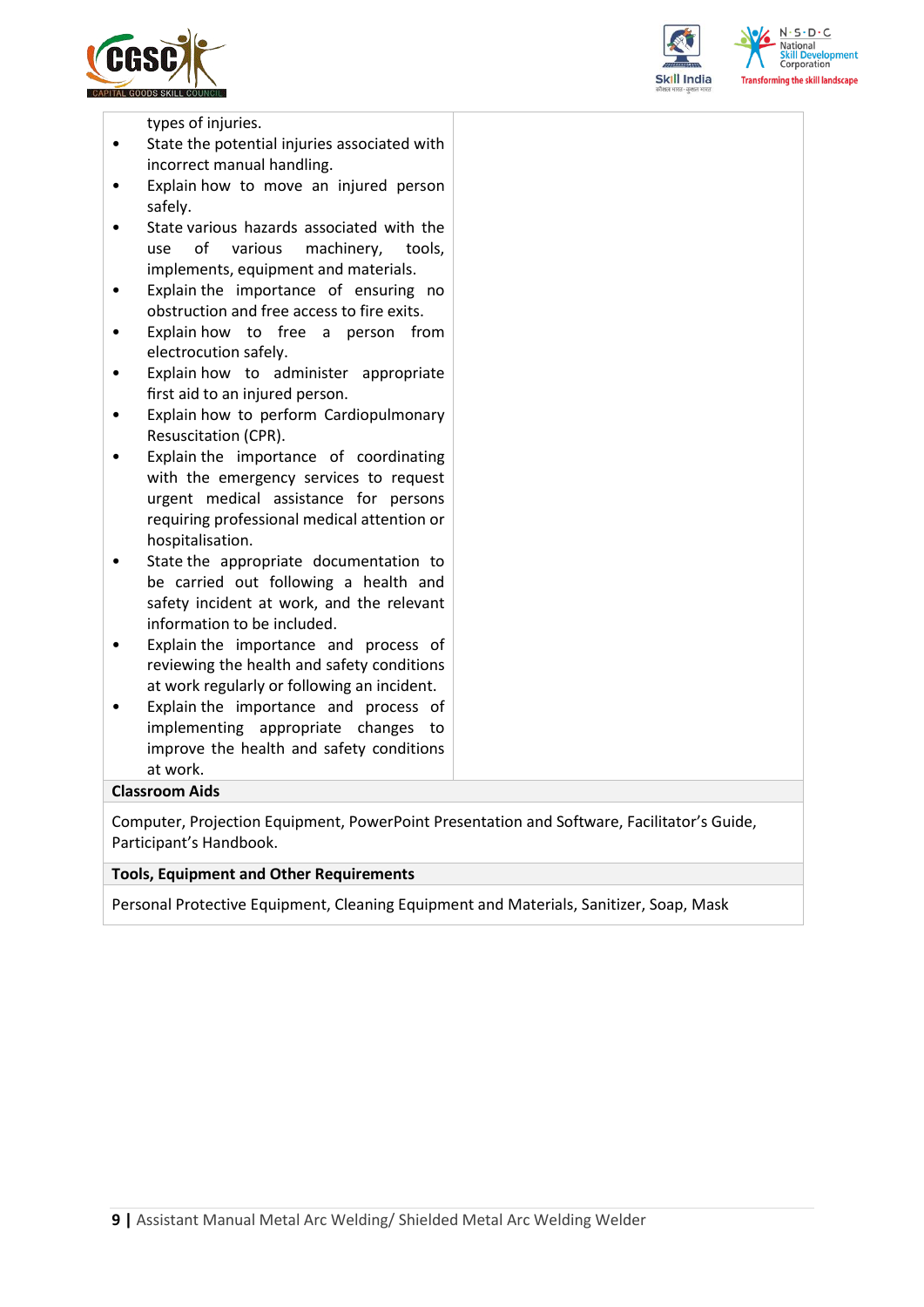





types of injuries.

- State the potential injuries associated with incorrect manual handling.
- Explain how to move an injured person safely.
- State various hazards associated with the use of various machinery, tools, implements, equipment and materials.
- Explain the importance of ensuring no obstruction and free access to fire exits.
- Explain how to free a person from electrocution safely.
- Explain how to administer appropriate first aid to an injured person.
- Explain how to perform Cardiopulmonary Resuscitation (CPR).
- Explain the importance of coordinating with the emergency services to request urgent medical assistance for persons requiring professional medical attention or hospitalisation.
- State the appropriate documentation to be carried out following a health and safety incident at work, and the relevant information to be included.
- Explain the importance and process of reviewing the health and safety conditions at work regularly or following an incident.
- Explain the importance and process of implementing appropriate changes to improve the health and safety conditions at work.

#### **Classroom Aids**

Computer, Projection Equipment, PowerPoint Presentation and Software, Facilitator's Guide, Participant's Handbook.

#### **Tools, Equipment and Other Requirements**

Personal Protective Equipment, Cleaning Equipment and Materials, Sanitizer, Soap, Mask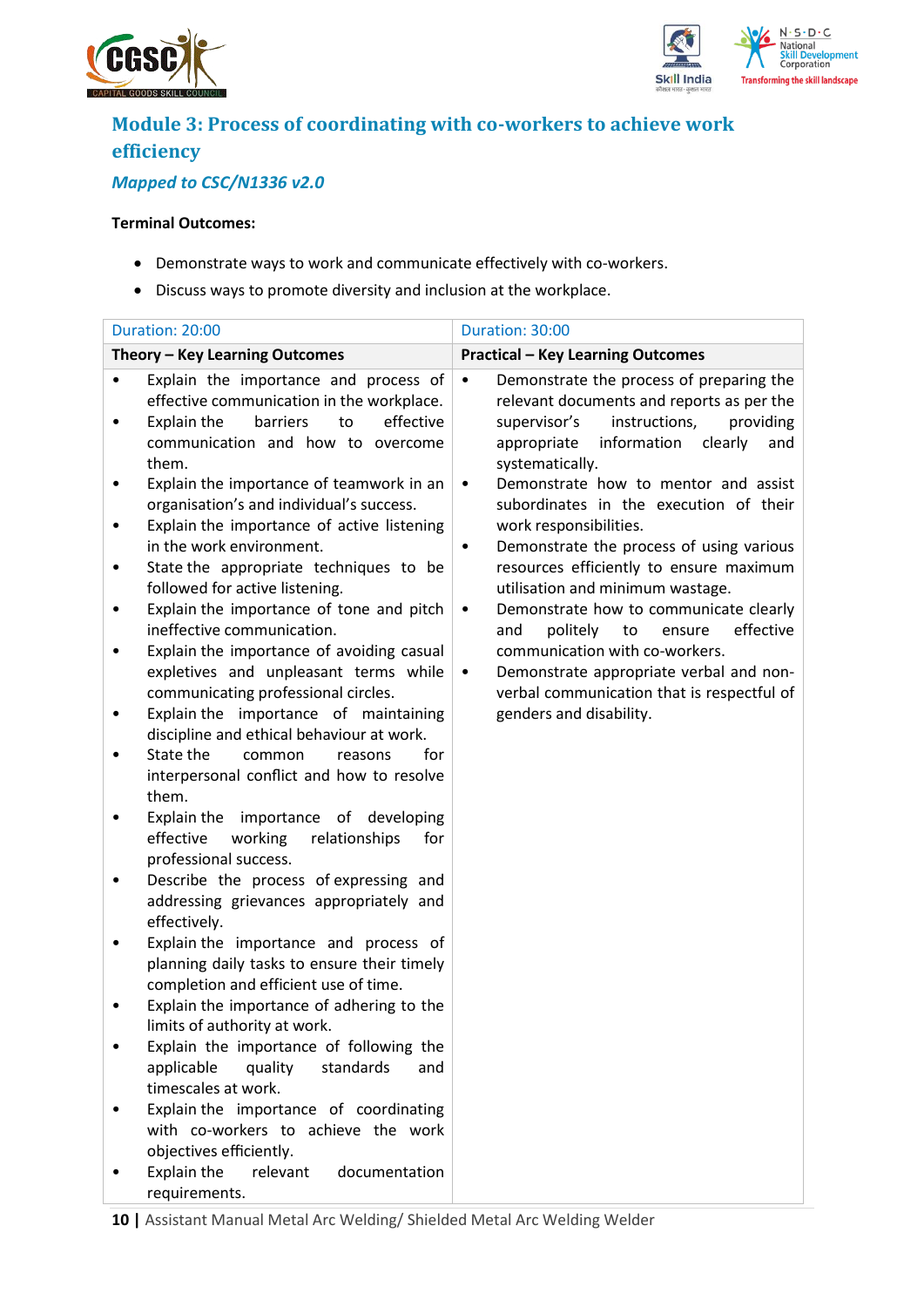



## **Module 3: Process of coordinating with co-workers to achieve work efficiency**

## *Mapped to CSC/N1336 v2.0*

#### **Terminal Outcomes:**

- Demonstrate ways to work and communicate effectively with co-workers.
- Discuss ways to promote diversity and inclusion at the workplace.

|   | Duration: 20:00                                                                                                                                                                | Duration: 30:00                                                                                                                                                                                                     |
|---|--------------------------------------------------------------------------------------------------------------------------------------------------------------------------------|---------------------------------------------------------------------------------------------------------------------------------------------------------------------------------------------------------------------|
|   | Theory - Key Learning Outcomes                                                                                                                                                 | <b>Practical - Key Learning Outcomes</b>                                                                                                                                                                            |
| ٠ | Explain the importance and process of<br>effective communication in the workplace.<br>to<br>effective<br>Explain the<br>barriers<br>communication and how to overcome<br>them. | Demonstrate the process of preparing the<br>$\bullet$<br>relevant documents and reports as per the<br>instructions,<br>providing<br>supervisor's<br>information<br>clearly<br>appropriate<br>and<br>systematically. |
| ٠ | Explain the importance of teamwork in an<br>organisation's and individual's success.<br>Explain the importance of active listening<br>in the work environment.                 | Demonstrate how to mentor and assist<br>$\bullet$<br>subordinates in the execution of their<br>work responsibilities.<br>Demonstrate the process of using various<br>$\bullet$                                      |
| ٠ | State the appropriate techniques to be<br>followed for active listening.<br>Explain the importance of tone and pitch                                                           | resources efficiently to ensure maximum<br>utilisation and minimum wastage.<br>Demonstrate how to communicate clearly<br>$\bullet$                                                                                  |
|   | ineffective communication.<br>Explain the importance of avoiding casual<br>expletives and unpleasant terms while<br>communicating professional circles.                        | and<br>politely<br>to<br>ensure<br>effective<br>communication with co-workers.<br>Demonstrate appropriate verbal and non-<br>$\bullet$<br>verbal communication that is respectful of                                |
|   | Explain the importance of maintaining<br>discipline and ethical behaviour at work.                                                                                             | genders and disability.                                                                                                                                                                                             |
|   | State the<br>common<br>for<br>reasons<br>interpersonal conflict and how to resolve<br>them.                                                                                    |                                                                                                                                                                                                                     |
|   | Explain the importance of developing<br>effective<br>working<br>relationships<br>for<br>professional success.                                                                  |                                                                                                                                                                                                                     |
|   | Describe the process of expressing and<br>addressing grievances appropriately and<br>effectively.                                                                              |                                                                                                                                                                                                                     |
|   | Explain the importance and process of<br>planning daily tasks to ensure their timely<br>completion and efficient use of time.                                                  |                                                                                                                                                                                                                     |
|   | Explain the importance of adhering to the<br>limits of authority at work.                                                                                                      |                                                                                                                                                                                                                     |
|   | Explain the importance of following the<br>quality<br>applicable<br>standards<br>and<br>timescales at work.                                                                    |                                                                                                                                                                                                                     |
|   | Explain the importance of coordinating<br>with co-workers to achieve the work<br>objectives efficiently.                                                                       |                                                                                                                                                                                                                     |
|   | Explain the<br>relevant<br>documentation<br>requirements.                                                                                                                      |                                                                                                                                                                                                                     |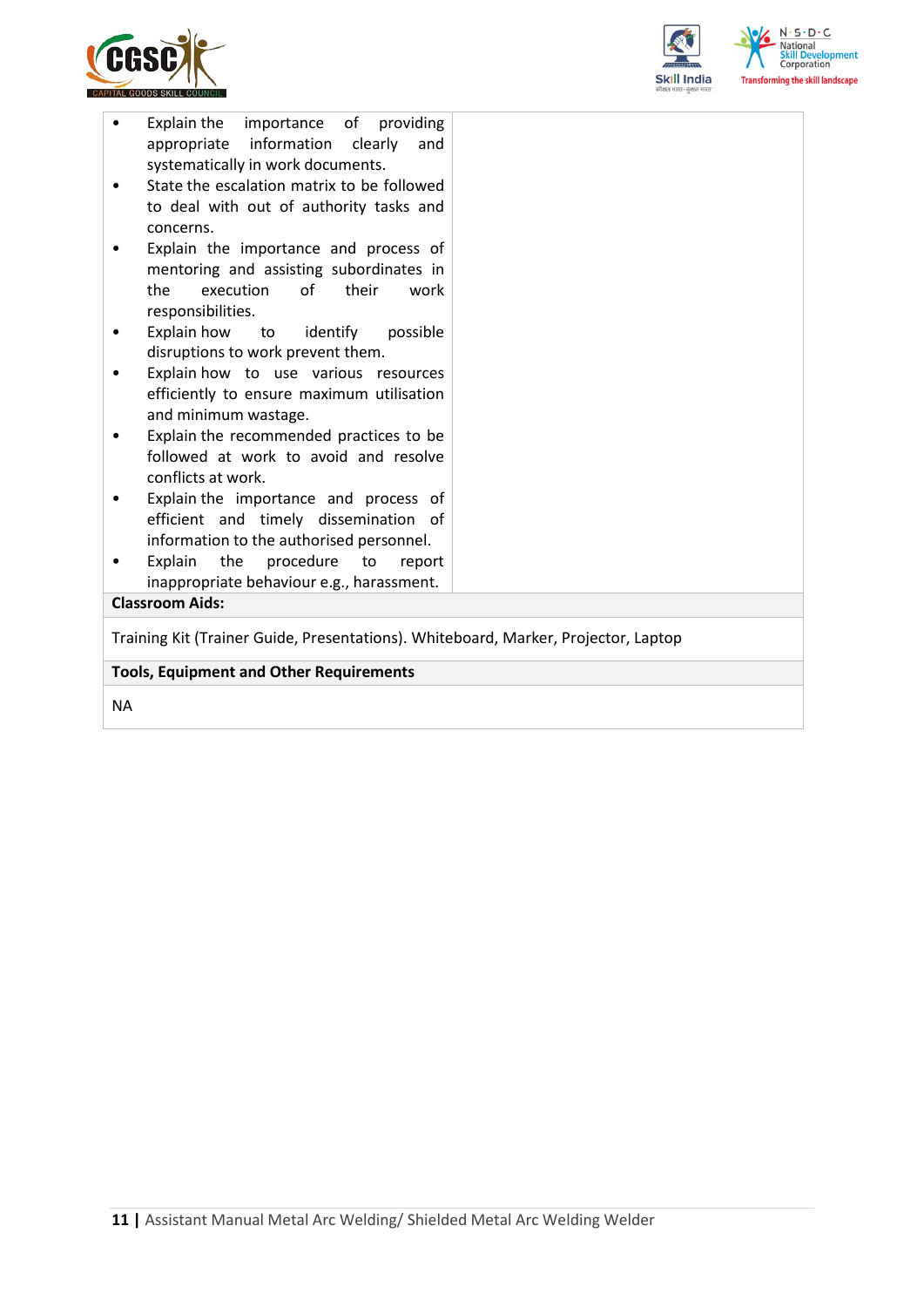



| Training Kit (Trainer Guide, Presentations). Whiteboard, Marker, Projector, Laptop<br><b>Tools, Equipment and Other Requirements</b>                                                  |  |
|---------------------------------------------------------------------------------------------------------------------------------------------------------------------------------------|--|
|                                                                                                                                                                                       |  |
| inappropriate behaviour e.g., harassment.<br><b>Classroom Aids:</b>                                                                                                                   |  |
| information to the authorised personnel.<br>Explain<br>the<br>procedure<br>to<br>report<br>٠                                                                                          |  |
| Explain the importance and process of<br>efficient and timely dissemination of                                                                                                        |  |
| Explain the recommended practices to be<br>followed at work to avoid and resolve<br>conflicts at work.                                                                                |  |
| efficiently to ensure maximum utilisation<br>and minimum wastage.                                                                                                                     |  |
| disruptions to work prevent them.<br>Explain how to use various resources                                                                                                             |  |
| responsibilities.<br>Explain how to identify<br>possible                                                                                                                              |  |
| Explain the importance and process of<br>mentoring and assisting subordinates in<br>execution<br>of<br>the<br>their<br>work                                                           |  |
| to deal with out of authority tasks and<br>concerns.                                                                                                                                  |  |
| Explain the importance of providing<br>$\bullet$<br>appropriate information<br>clearly<br>and<br>systematically in work documents.<br>State the escalation matrix to be followed<br>٠ |  |

NA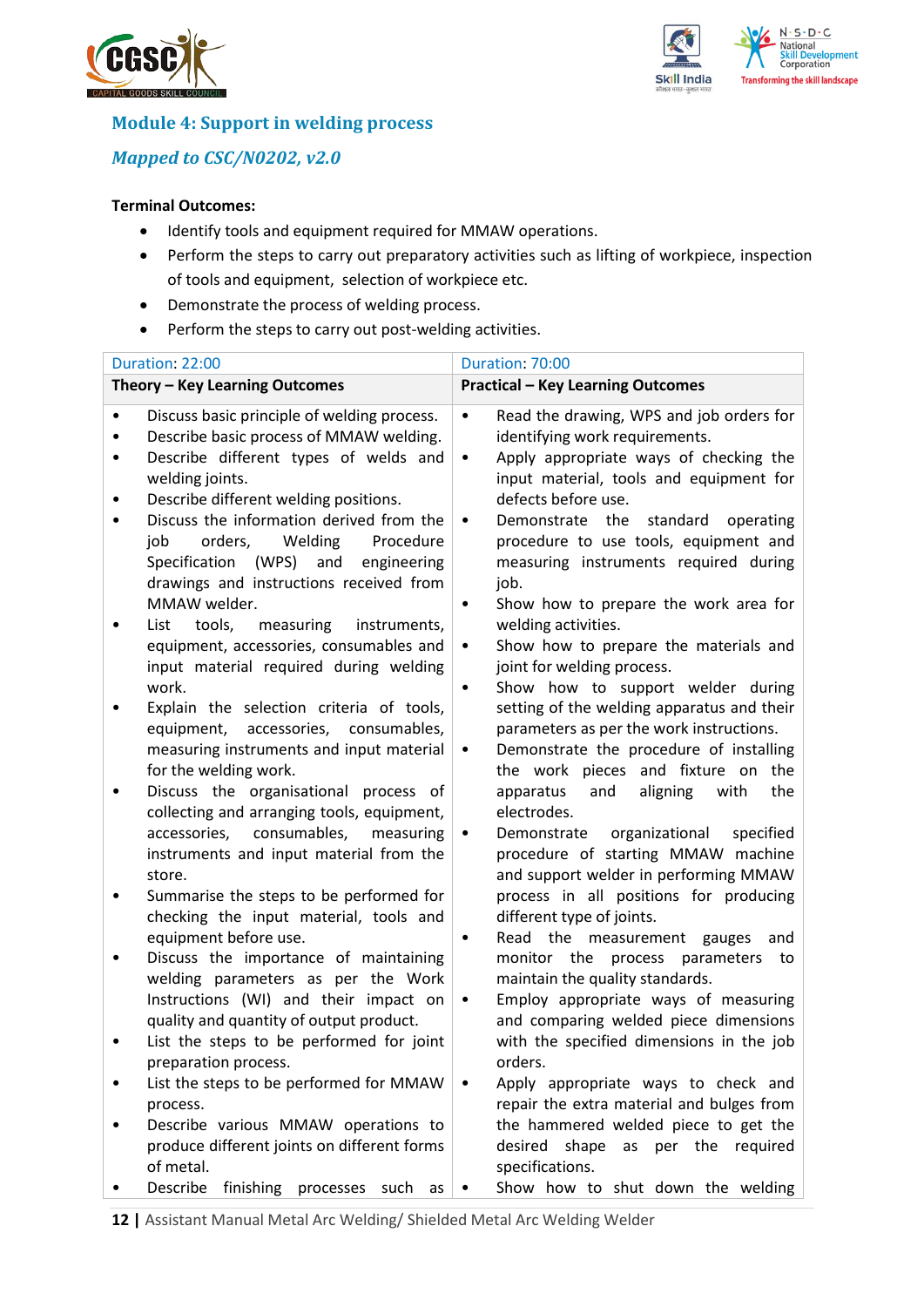



## **Module 4: Support in welding process**

## *Mapped to CSC/N0202, v2.0*

#### **Terminal Outcomes:**

- Identify tools and equipment required for MMAW operations.
- Perform the steps to carry out preparatory activities such as lifting of workpiece, inspection of tools and equipment, selection of workpiece etc.
- Demonstrate the process of welding process.
- Perform the steps to carry out post-welding activities.

|                | Duration: 22:00                                                                                                                                                                                                                                                                                                                                                                        | Duration: 70:00                                                                                                                                                                                                                                                                                                                                                                                                   |
|----------------|----------------------------------------------------------------------------------------------------------------------------------------------------------------------------------------------------------------------------------------------------------------------------------------------------------------------------------------------------------------------------------------|-------------------------------------------------------------------------------------------------------------------------------------------------------------------------------------------------------------------------------------------------------------------------------------------------------------------------------------------------------------------------------------------------------------------|
|                | Theory - Key Learning Outcomes                                                                                                                                                                                                                                                                                                                                                         | <b>Practical - Key Learning Outcomes</b>                                                                                                                                                                                                                                                                                                                                                                          |
| $\bullet$<br>٠ | Discuss basic principle of welding process.<br>Describe basic process of MMAW welding.<br>Describe different types of welds and<br>welding joints.<br>Describe different welding positions.<br>Discuss the information derived from the<br>job<br>orders,<br>Welding<br>Procedure<br>Specification (WPS) and<br>engineering<br>drawings and instructions received from<br>MMAW welder. | Read the drawing, WPS and job orders for<br>$\bullet$<br>identifying work requirements.<br>Apply appropriate ways of checking the<br>$\bullet$<br>input material, tools and equipment for<br>defects before use.<br>Demonstrate the<br>standard<br>operating<br>٠<br>procedure to use tools, equipment and<br>measuring instruments required during<br>job.<br>Show how to prepare the work area for<br>$\bullet$ |
|                | tools,<br>measuring<br>List<br>instruments,<br>equipment, accessories, consumables and<br>input material required during welding<br>work.                                                                                                                                                                                                                                              | welding activities.<br>Show how to prepare the materials and<br>$\bullet$<br>joint for welding process.<br>Show how to support welder during<br>$\bullet$                                                                                                                                                                                                                                                         |
|                | Explain the selection criteria of tools,<br>equipment, accessories, consumables,<br>measuring instruments and input material<br>for the welding work.                                                                                                                                                                                                                                  | setting of the welding apparatus and their<br>parameters as per the work instructions.<br>Demonstrate the procedure of installing<br>٠<br>the work pieces and fixture on the                                                                                                                                                                                                                                      |
|                | Discuss the organisational process of<br>collecting and arranging tools, equipment,<br>consumables,<br>accessories,<br>measuring<br>instruments and input material from the<br>store.                                                                                                                                                                                                  | aligning<br>with<br>the<br>apparatus<br>and<br>electrodes.<br>Demonstrate<br>organizational<br>specified<br>$\bullet$<br>procedure of starting MMAW machine<br>and support welder in performing MMAW                                                                                                                                                                                                              |
|                | Summarise the steps to be performed for<br>checking the input material, tools and                                                                                                                                                                                                                                                                                                      | process in all positions for producing<br>different type of joints.                                                                                                                                                                                                                                                                                                                                               |
|                | equipment before use.<br>Discuss the importance of maintaining<br>welding parameters as per the Work<br>Instructions (WI) and their impact on<br>quality and quantity of output product.<br>List the steps to be performed for joint                                                                                                                                                   | Read the measurement gauges<br>$\bullet$<br>and<br>monitor the process parameters to<br>maintain the quality standards.<br>Employ appropriate ways of measuring<br>$\bullet$<br>and comparing welded piece dimensions<br>with the specified dimensions in the job                                                                                                                                                 |
|                | preparation process.<br>List the steps to be performed for MMAW<br>process.                                                                                                                                                                                                                                                                                                            | orders.<br>Apply appropriate ways to check and<br>$\bullet$<br>repair the extra material and bulges from                                                                                                                                                                                                                                                                                                          |
|                | Describe various MMAW operations to<br>produce different joints on different forms<br>of metal.                                                                                                                                                                                                                                                                                        | the hammered welded piece to get the<br>desired shape<br>per the required<br>as<br>specifications.                                                                                                                                                                                                                                                                                                                |
|                | Describe<br>finishing processes such as                                                                                                                                                                                                                                                                                                                                                | Show how to shut down the welding                                                                                                                                                                                                                                                                                                                                                                                 |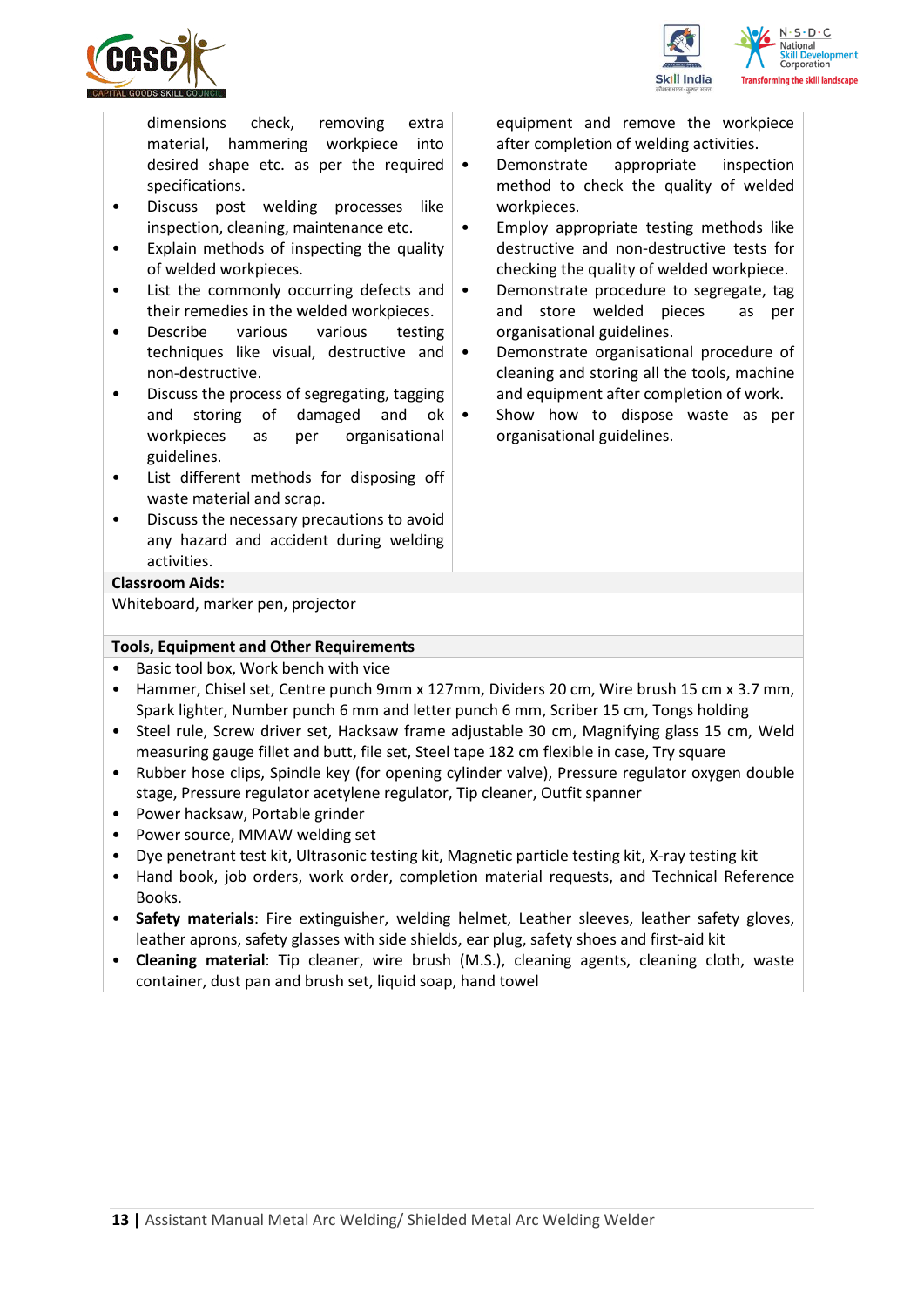

ng the skill landscape

dimensions check, removing extra material, hammering workpiece into desired shape etc. as per the required specifications.

- Discuss post welding processes like inspection, cleaning, maintenance etc.
- Explain methods of inspecting the quality of welded workpieces.
- List the commonly occurring defects and their remedies in the welded workpieces.
- Describe various various testing techniques like visual, destructive and non-destructive.
- Discuss the process of segregating, tagging and storing of damaged and ok workpieces as per organisational guidelines.
- List different methods for disposing off waste material and scrap.
- Discuss the necessary precautions to avoid any hazard and accident during welding activities.

equipment and remove the workpiece after completion of welding activities.

- Demonstrate appropriate inspection method to check the quality of welded workpieces.
- Employ appropriate testing methods like destructive and non-destructive tests for checking the quality of welded workpiece.
- Demonstrate procedure to segregate, tag and store welded pieces as per organisational guidelines.
- Demonstrate organisational procedure of cleaning and storing all the tools, machine and equipment after completion of work.
- Show how to dispose waste as per organisational guidelines.

#### **Classroom Aids:**

Whiteboard, marker pen, projector

#### **Tools, Equipment and Other Requirements**

- Basic tool box, Work bench with vice
- Hammer, Chisel set, Centre punch 9mm x 127mm, Dividers 20 cm, Wire brush 15 cm x 3.7 mm, Spark lighter, Number punch 6 mm and letter punch 6 mm, Scriber 15 cm, Tongs holding
- Steel rule, Screw driver set, Hacksaw frame adjustable 30 cm, Magnifying glass 15 cm, Weld measuring gauge fillet and butt, file set, Steel tape 182 cm flexible in case, Try square
- Rubber hose clips, Spindle key (for opening cylinder valve), Pressure regulator oxygen double stage, Pressure regulator acetylene regulator, Tip cleaner, Outfit spanner
- Power hacksaw, Portable grinder
- Power source, MMAW welding set
- Dye penetrant test kit, Ultrasonic testing kit, Magnetic particle testing kit, X-ray testing kit
- Hand book, job orders, work order, completion material requests, and Technical Reference Books.
- **Safety materials**: Fire extinguisher, welding helmet, Leather sleeves, leather safety gloves, leather aprons, safety glasses with side shields, ear plug, safety shoes and first-aid kit
- **Cleaning material**: Tip cleaner, wire brush (M.S.), cleaning agents, cleaning cloth, waste container, dust pan and brush set, liquid soap, hand towel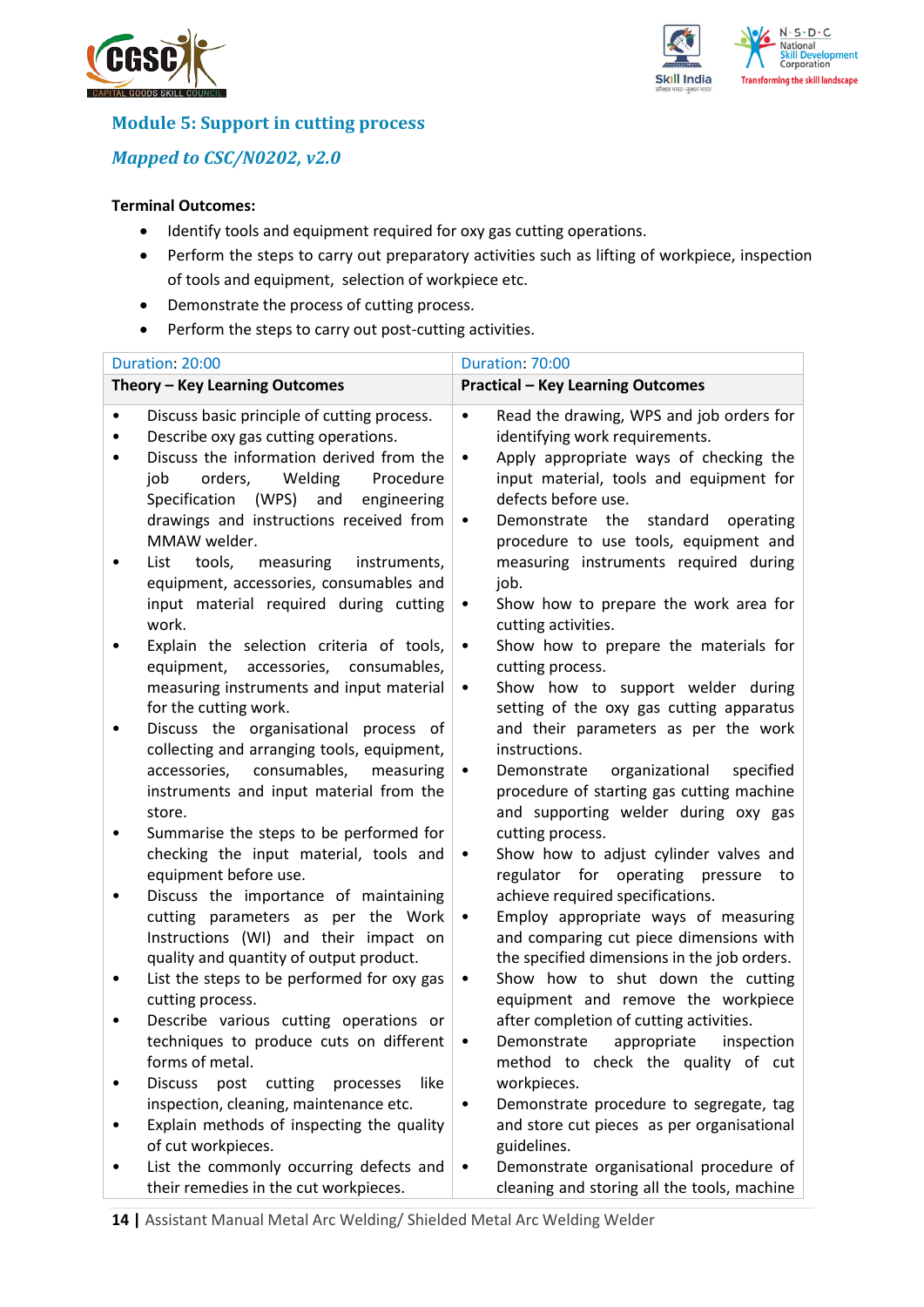



## **Module 5: Support in cutting process**

*Mapped to CSC/N0202, v2.0*

### **Terminal Outcomes:**

- Identify tools and equipment required for oxy gas cutting operations.
- Perform the steps to carry out preparatory activities such as lifting of workpiece, inspection of tools and equipment, selection of workpiece etc.
- Demonstrate the process of cutting process.
- Perform the steps to carry out post-cutting activities.

|           | Duration: 20:00                                                                                                                                                                                                                                                                      | Duration: 70:00                                                                                                                                                                                                                                                        |
|-----------|--------------------------------------------------------------------------------------------------------------------------------------------------------------------------------------------------------------------------------------------------------------------------------------|------------------------------------------------------------------------------------------------------------------------------------------------------------------------------------------------------------------------------------------------------------------------|
|           | Theory - Key Learning Outcomes                                                                                                                                                                                                                                                       | <b>Practical - Key Learning Outcomes</b>                                                                                                                                                                                                                               |
|           | Discuss basic principle of cutting process.<br>Describe oxy gas cutting operations.<br>Discuss the information derived from the<br>job<br>orders,<br>Welding<br>Procedure<br>Specification<br>(WPS)<br>and<br>engineering<br>drawings and instructions received from<br>MMAW welder. | Read the drawing, WPS and job orders for<br>$\bullet$<br>identifying work requirements.<br>Apply appropriate ways of checking the<br>$\bullet$<br>input material, tools and equipment for<br>defects before use.<br>Demonstrate the standard<br>operating<br>$\bullet$ |
|           | List<br>tools,<br>measuring<br>instruments,<br>equipment, accessories, consumables and<br>input material required during cutting<br>work.                                                                                                                                            | procedure to use tools, equipment and<br>measuring instruments required during<br>job.<br>Show how to prepare the work area for<br>٠<br>cutting activities.                                                                                                            |
|           | Explain the selection criteria of tools,<br>equipment,<br>accessories,<br>consumables,<br>measuring instruments and input material<br>for the cutting work.                                                                                                                          | Show how to prepare the materials for<br>$\bullet$<br>cutting process.<br>Show how to support welder during<br>٠<br>setting of the oxy gas cutting apparatus                                                                                                           |
|           | Discuss the organisational process of<br>collecting and arranging tools, equipment,<br>consumables,<br>accessories,<br>measuring<br>instruments and input material from the<br>store.                                                                                                | and their parameters as per the work<br>instructions.<br>organizational<br>specified<br>Demonstrate<br>$\bullet$<br>procedure of starting gas cutting machine<br>and supporting welder during oxy gas                                                                  |
|           | Summarise the steps to be performed for<br>checking the input material, tools and<br>equipment before use.                                                                                                                                                                           | cutting process.<br>Show how to adjust cylinder valves and<br>$\bullet$<br>regulator for operating pressure to                                                                                                                                                         |
| ٠         | Discuss the importance of maintaining<br>cutting parameters as per the Work<br>Instructions (WI) and their impact on<br>quality and quantity of output product.                                                                                                                      | achieve required specifications.<br>Employ appropriate ways of measuring<br>٠<br>and comparing cut piece dimensions with<br>the specified dimensions in the job orders.                                                                                                |
| $\bullet$ | List the steps to be performed for oxy gas<br>cutting process.                                                                                                                                                                                                                       | Show how to shut down the cutting<br>$\bullet$<br>equipment and remove the workpiece                                                                                                                                                                                   |
| ٠         | Describe various cutting operations or<br>techniques to produce cuts on different<br>forms of metal.                                                                                                                                                                                 | after completion of cutting activities.<br>Demonstrate appropriate inspection<br>method to check the quality of cut                                                                                                                                                    |
|           | <b>Discuss</b><br>post<br>like<br>cutting<br>processes<br>inspection, cleaning, maintenance etc.<br>Explain methods of inspecting the quality                                                                                                                                        | workpieces.<br>Demonstrate procedure to segregate, tag<br>٠<br>and store cut pieces as per organisational                                                                                                                                                              |
|           | of cut workpieces.<br>List the commonly occurring defects and<br>their remedies in the cut workpieces.                                                                                                                                                                               | guidelines.<br>Demonstrate organisational procedure of<br>$\bullet$<br>cleaning and storing all the tools, machine                                                                                                                                                     |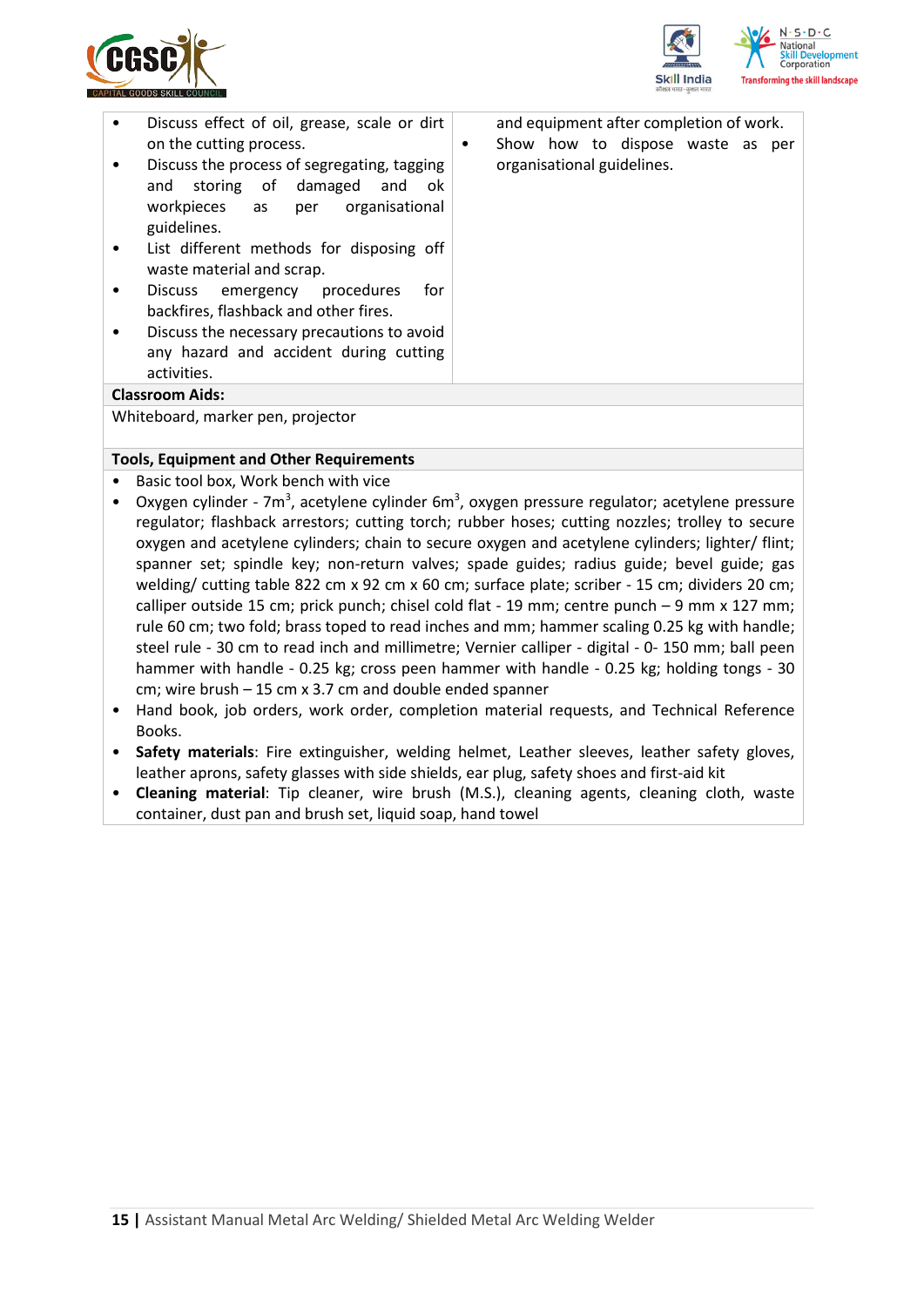



| ٠         | Discuss effect of oil, grease, scale or dirt                                                                                    |   | and equipment after completion of work. |
|-----------|---------------------------------------------------------------------------------------------------------------------------------|---|-----------------------------------------|
|           | on the cutting process.                                                                                                         | ٠ | Show how to dispose waste as per        |
|           | Discuss the process of segregating, tagging<br>and storing of damaged and ok<br>workpieces as per organisational<br>guidelines. |   | organisational guidelines.              |
| ٠         | List different methods for disposing off<br>waste material and scrap.                                                           |   |                                         |
|           | Discuss emergency procedures<br>for<br>backfires, flashback and other fires.                                                    |   |                                         |
| $\bullet$ | Discuss the necessary precautions to avoid                                                                                      |   |                                         |
|           | any hazard and accident during cutting                                                                                          |   |                                         |
|           | activities.                                                                                                                     |   |                                         |
|           | <b>Classroom Aids:</b>                                                                                                          |   |                                         |
|           | Whiteboard, marker pen, projector                                                                                               |   |                                         |

#### **Tools, Equipment and Other Requirements**

- Basic tool box, Work bench with vice
- Oxygen cylinder 7m<sup>3</sup>, acetylene cylinder 6m<sup>3</sup>, oxygen pressure regulator; acetylene pressure regulator; flashback arrestors; cutting torch; rubber hoses; cutting nozzles; trolley to secure oxygen and acetylene cylinders; chain to secure oxygen and acetylene cylinders; lighter/ flint; spanner set; spindle key; non-return valves; spade guides; radius guide; bevel guide; gas welding/ cutting table 822 cm x 92 cm x 60 cm; surface plate; scriber - 15 cm; dividers 20 cm; calliper outside 15 cm; prick punch; chisel cold flat - 19 mm; centre punch – 9 mm x 127 mm; rule 60 cm; two fold; brass toped to read inches and mm; hammer scaling 0.25 kg with handle; steel rule - 30 cm to read inch and millimetre; Vernier calliper - digital - 0- 150 mm; ball peen hammer with handle - 0.25 kg; cross peen hammer with handle - 0.25 kg; holding tongs - 30 cm; wire brush – 15 cm x 3.7 cm and double ended spanner
- Hand book, job orders, work order, completion material requests, and Technical Reference Books.
- **Safety materials**: Fire extinguisher, welding helmet, Leather sleeves, leather safety gloves, leather aprons, safety glasses with side shields, ear plug, safety shoes and first-aid kit
- **Cleaning material**: Tip cleaner, wire brush (M.S.), cleaning agents, cleaning cloth, waste container, dust pan and brush set, liquid soap, hand towel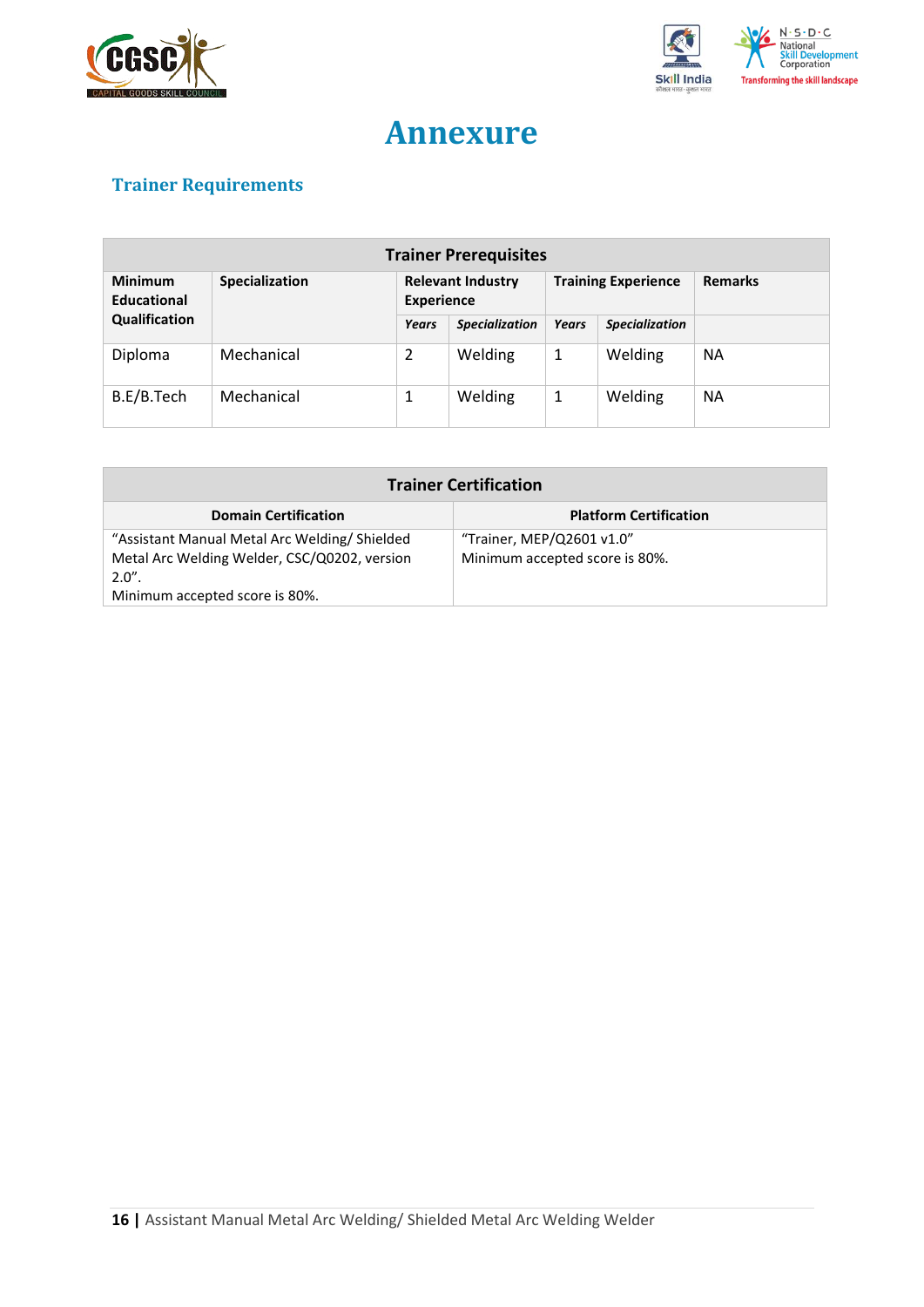



## **Annexure**

## <span id="page-15-0"></span>**Trainer Requirements**

| <b>Trainer Prerequisites</b>  |                |                                               |                       |                            |                       |                |  |
|-------------------------------|----------------|-----------------------------------------------|-----------------------|----------------------------|-----------------------|----------------|--|
| <b>Minimum</b><br>Educational | Specialization | <b>Relevant Industry</b><br><b>Experience</b> |                       | <b>Training Experience</b> |                       | <b>Remarks</b> |  |
| Qualification                 |                | Years                                         | <b>Specialization</b> | <b>Years</b>               | <b>Specialization</b> |                |  |
| Diploma                       | Mechanical     | 2                                             | Welding               | 1                          | Welding               | <b>NA</b>      |  |
| B.E/B.Tech                    | Mechanical     | 1                                             | Welding               | 1                          | Welding               | <b>NA</b>      |  |

| <b>Trainer Certification</b>                                                                                                               |                                                             |  |  |  |
|--------------------------------------------------------------------------------------------------------------------------------------------|-------------------------------------------------------------|--|--|--|
| <b>Domain Certification</b>                                                                                                                | <b>Platform Certification</b>                               |  |  |  |
| "Assistant Manual Metal Arc Welding/Shielded<br>Metal Arc Welding Welder, CSC/Q0202, version<br>$2.0"$ .<br>Minimum accepted score is 80%. | "Trainer, MEP/Q2601 v1.0"<br>Minimum accepted score is 80%. |  |  |  |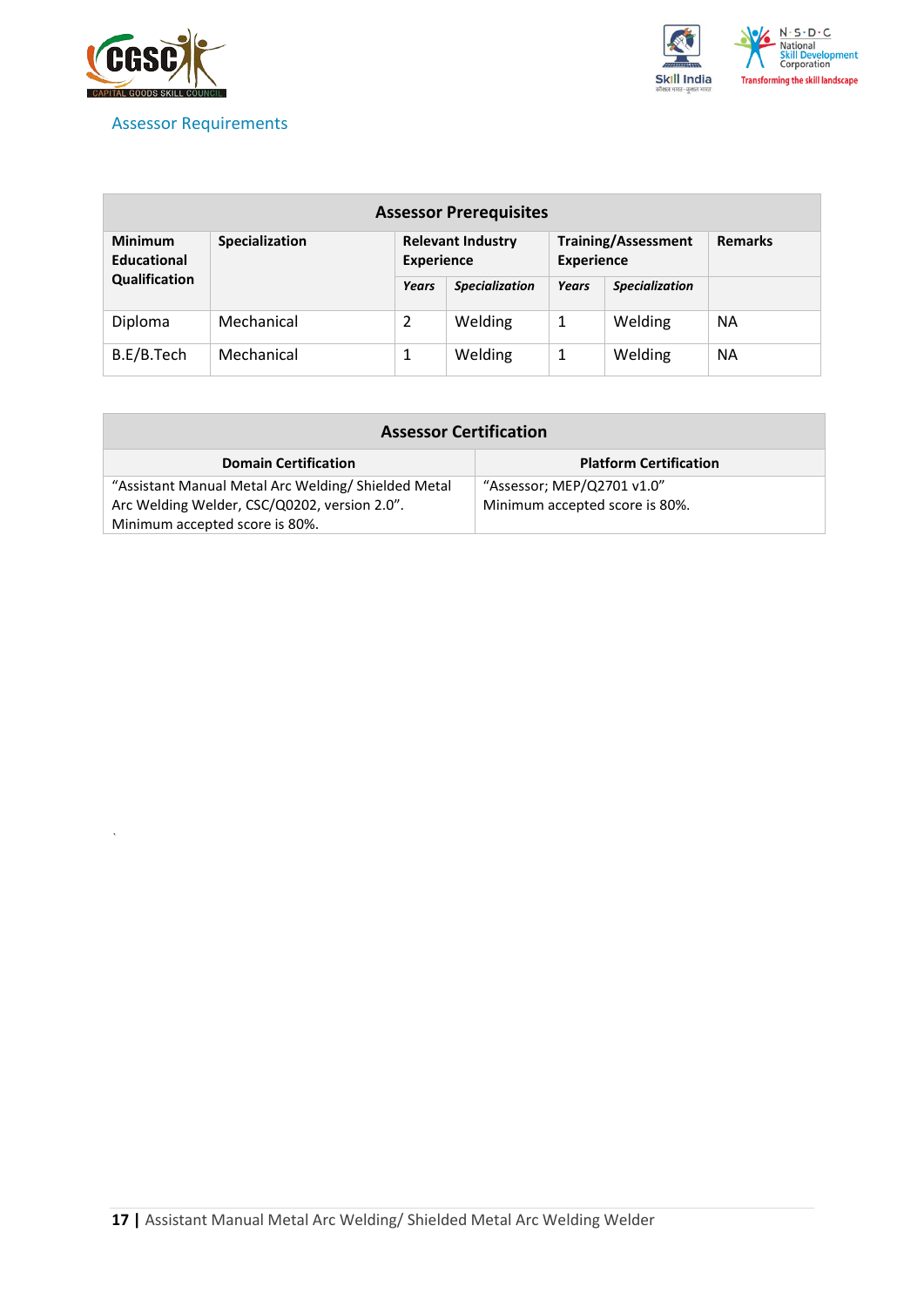

*`*

### <span id="page-16-0"></span>Assessor Requirements



| <b>Assessor Prerequisites</b>        |                       |                                               |                       |                                                 |                       |                |  |
|--------------------------------------|-----------------------|-----------------------------------------------|-----------------------|-------------------------------------------------|-----------------------|----------------|--|
| <b>Minimum</b><br><b>Educational</b> | <b>Specialization</b> | <b>Relevant Industry</b><br><b>Experience</b> |                       | <b>Training/Assessment</b><br><b>Experience</b> |                       | <b>Remarks</b> |  |
| Qualification                        |                       | <b>Years</b>                                  | <b>Specialization</b> | Years                                           | <b>Specialization</b> |                |  |
| Diploma                              | Mechanical            | 2                                             | Welding               | 1                                               | Welding               | <b>NA</b>      |  |
| B.E/B.Tech                           | Mechanical            | 1                                             | Welding               | 1                                               | Welding               | <b>NA</b>      |  |

| <b>Assessor Certification</b>                      |                                |  |  |  |
|----------------------------------------------------|--------------------------------|--|--|--|
| <b>Domain Certification</b>                        | <b>Platform Certification</b>  |  |  |  |
| "Assistant Manual Metal Arc Welding/Shielded Metal | "Assessor; MEP/Q2701 v1.0"     |  |  |  |
| Arc Welding Welder, CSC/Q0202, version 2.0".       | Minimum accepted score is 80%. |  |  |  |
| Minimum accepted score is 80%.                     |                                |  |  |  |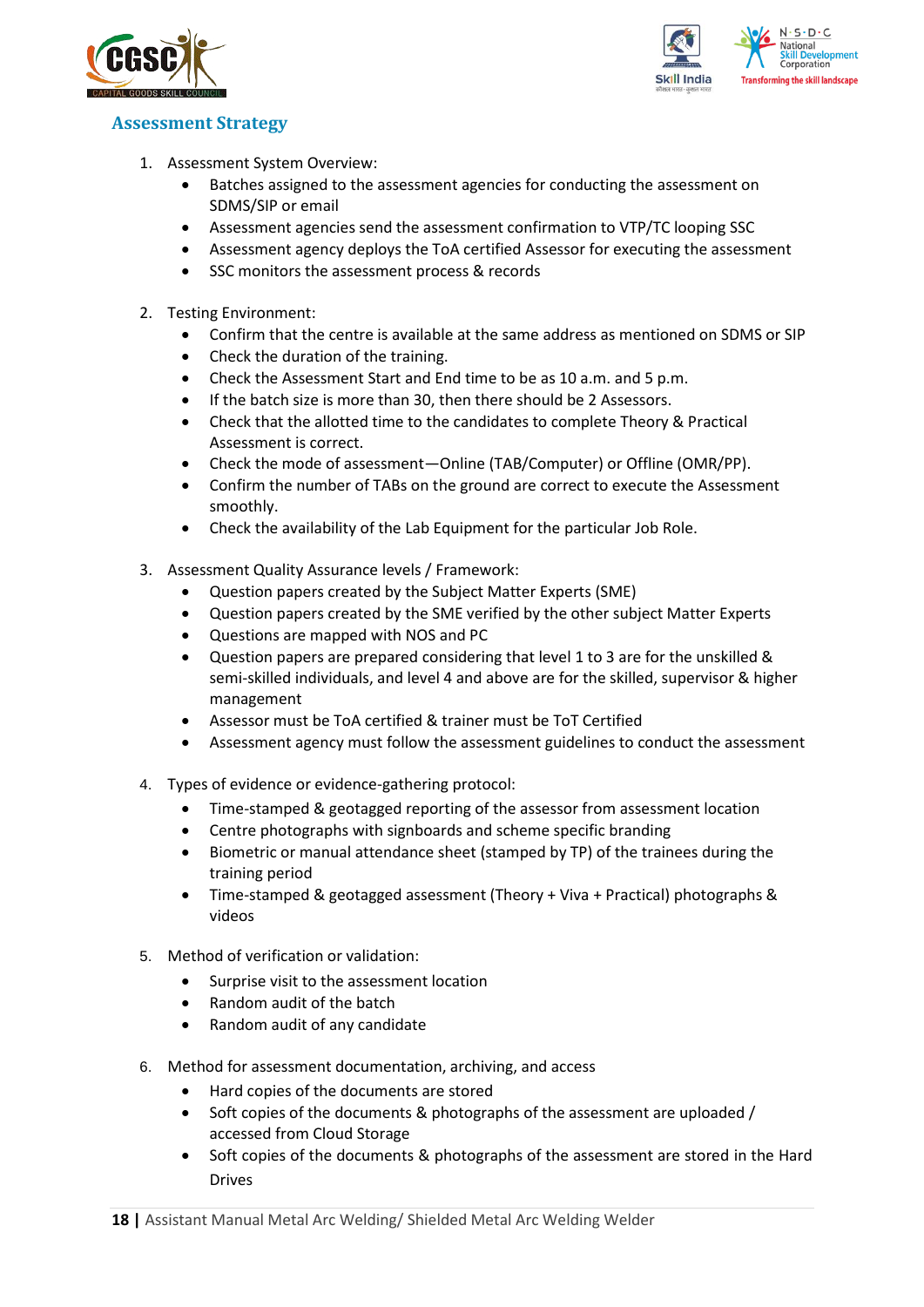



### <span id="page-17-0"></span>**Assessment Strategy**

- 1. Assessment System Overview:
	- Batches assigned to the assessment agencies for conducting the assessment on SDMS/SIP or email
	- Assessment agencies send the assessment confirmation to VTP/TC looping SSC
	- Assessment agency deploys the ToA certified Assessor for executing the assessment
	- SSC monitors the assessment process & records
- 2. Testing Environment:
	- Confirm that the centre is available at the same address as mentioned on SDMS or SIP
	- Check the duration of the training.
	- Check the Assessment Start and End time to be as 10 a.m. and 5 p.m.
	- If the batch size is more than 30, then there should be 2 Assessors.
	- Check that the allotted time to the candidates to complete Theory & Practical Assessment is correct.
	- Check the mode of assessment—Online (TAB/Computer) or Offline (OMR/PP).
	- Confirm the number of TABs on the ground are correct to execute the Assessment smoothly.
	- Check the availability of the Lab Equipment for the particular Job Role.
- 3. Assessment Quality Assurance levels / Framework:
	- Question papers created by the Subject Matter Experts (SME)
	- Question papers created by the SME verified by the other subject Matter Experts
	- Questions are mapped with NOS and PC
	- Question papers are prepared considering that level 1 to 3 are for the unskilled & semi-skilled individuals, and level 4 and above are for the skilled, supervisor & higher management
	- Assessor must be ToA certified & trainer must be ToT Certified
	- Assessment agency must follow the assessment guidelines to conduct the assessment
- 4. Types of evidence or evidence-gathering protocol:
	- Time-stamped & geotagged reporting of the assessor from assessment location
	- Centre photographs with signboards and scheme specific branding
	- Biometric or manual attendance sheet (stamped by TP) of the trainees during the training period
	- Time-stamped & geotagged assessment (Theory + Viva + Practical) photographs & videos
- 5. Method of verification or validation:
	- Surprise visit to the assessment location
	- Random audit of the batch
	- Random audit of any candidate
- 6. Method for assessment documentation, archiving, and access
	- Hard copies of the documents are stored
	- Soft copies of the documents & photographs of the assessment are uploaded / accessed from Cloud Storage
	- Soft copies of the documents & photographs of the assessment are stored in the Hard Drives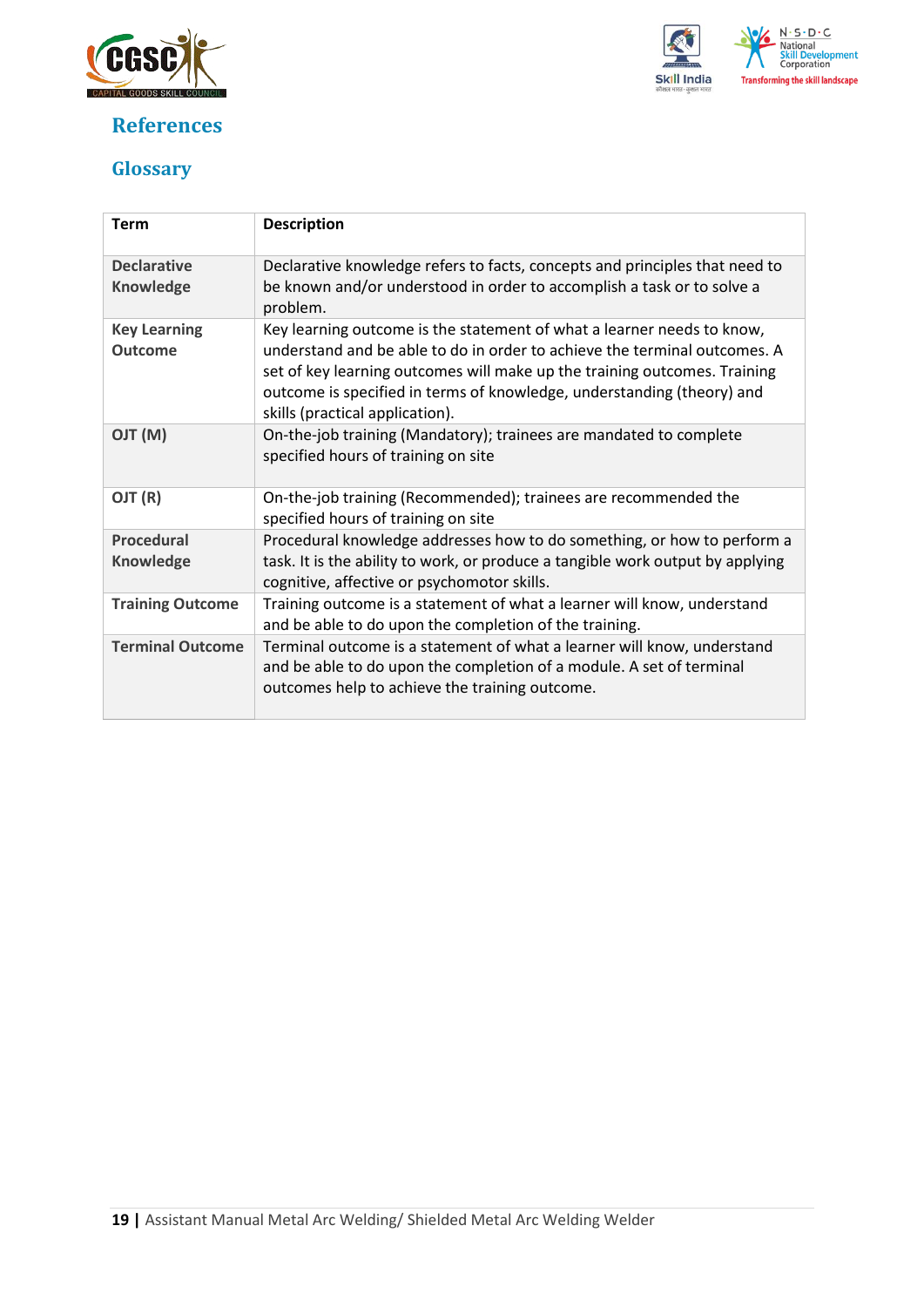

## <span id="page-18-0"></span>**References**



## <span id="page-18-1"></span>**Glossary**

| <b>Term</b>                            | <b>Description</b>                                                                                                                                                                                                                                                                                                                            |
|----------------------------------------|-----------------------------------------------------------------------------------------------------------------------------------------------------------------------------------------------------------------------------------------------------------------------------------------------------------------------------------------------|
| <b>Declarative</b><br><b>Knowledge</b> | Declarative knowledge refers to facts, concepts and principles that need to<br>be known and/or understood in order to accomplish a task or to solve a<br>problem.                                                                                                                                                                             |
| <b>Key Learning</b><br><b>Outcome</b>  | Key learning outcome is the statement of what a learner needs to know,<br>understand and be able to do in order to achieve the terminal outcomes. A<br>set of key learning outcomes will make up the training outcomes. Training<br>outcome is specified in terms of knowledge, understanding (theory) and<br>skills (practical application). |
| (M) TLO                                | On-the-job training (Mandatory); trainees are mandated to complete<br>specified hours of training on site                                                                                                                                                                                                                                     |
| OJT (R)                                | On-the-job training (Recommended); trainees are recommended the<br>specified hours of training on site                                                                                                                                                                                                                                        |
| <b>Procedural</b><br><b>Knowledge</b>  | Procedural knowledge addresses how to do something, or how to perform a<br>task. It is the ability to work, or produce a tangible work output by applying<br>cognitive, affective or psychomotor skills.                                                                                                                                      |
| <b>Training Outcome</b>                | Training outcome is a statement of what a learner will know, understand<br>and be able to do upon the completion of the training.                                                                                                                                                                                                             |
| <b>Terminal Outcome</b>                | Terminal outcome is a statement of what a learner will know, understand<br>and be able to do upon the completion of a module. A set of terminal<br>outcomes help to achieve the training outcome.                                                                                                                                             |